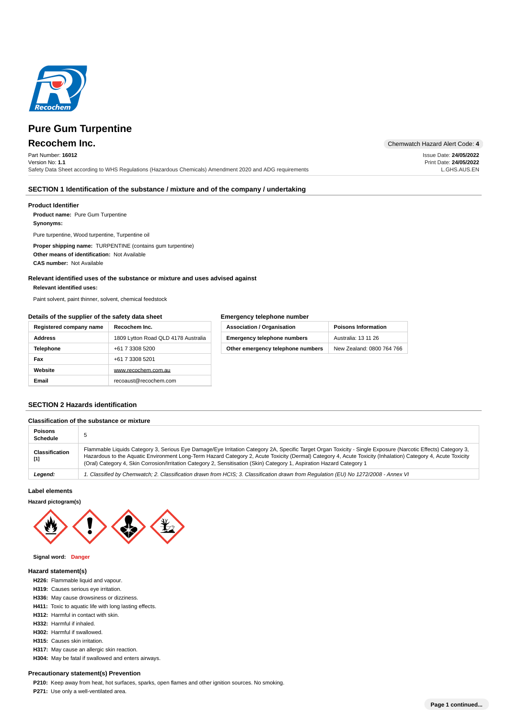

Part Number: **16012** Version No: **1.1** Safety Data Sheet according to WHS Regulations (Hazardous Chemicals) Amendment 2020 and ADG requirements

**Recochem Inc.** Chemwatch Hazard Alert Code: 4

Issue Date: **24/05/2022** Print Date: **24/05/2022** L.GHS.AUS.EN

# **SECTION 1 Identification of the substance / mixture and of the company / undertaking**

# **Product Identifier**

**Product name:** Pure Gum Turpentine

# **: Synonyms**

Pure turpentine, Wood turpentine, Turpentine oil

**Proper shipping name: TURPENTINE (contains gum turpentine)** Other means of identification: Not Available **CAS number: Not Available** 

# **Relevant identified uses of the substance or mixture and uses advised against**

#### **: Relevant identified uses**

Paint solvent, paint thinner, solvent, chemical feedstock

# **Details of the supplier of the safety data sheet**

# **Emergency telephone number**

| Registered company name | Recochem Inc.                       | <b>Association / Organisation</b>  | <b>Poisons Information</b> |
|-------------------------|-------------------------------------|------------------------------------|----------------------------|
| <b>Address</b>          | 1809 Lytton Road QLD 4178 Australia | <b>Emergency telephone numbers</b> | Australia: 13 11 26        |
| <b>Telephone</b>        | +61 7 3308 5200                     | Other emergency telephone numbers  | New Zealand: 0800 764 766  |
| Fax                     | +61 7 3308 5201                     |                                    |                            |
| Website                 | www.recochem.com.au                 |                                    |                            |
| Email                   | recoaust@recochem.com               |                                    |                            |

# **SECTION 2 Hazards identification**

# **Classification of the substance or mixture**

| <b>Poisons</b><br><b>Schedule</b> |                                                                                                                                                                                                                                                                                                                                                                                                                                                        |
|-----------------------------------|--------------------------------------------------------------------------------------------------------------------------------------------------------------------------------------------------------------------------------------------------------------------------------------------------------------------------------------------------------------------------------------------------------------------------------------------------------|
| <b>Classification</b>             | Flammable Liquids Category 3, Serious Eye Damage/Eye Irritation Category 2A, Specific Target Organ Toxicity - Single Exposure (Narcotic Effects) Category 3,<br>Hazardous to the Aquatic Environment Long-Term Hazard Category 2, Acute Toxicity (Dermal) Category 4, Acute Toxicity (Inhalation) Category 4, Acute Toxicity<br>(Oral) Category 4, Skin Corrosion/Irritation Category 2, Sensitisation (Skin) Category 1, Aspiration Hazard Category 1 |
| Legend:                           | . Classified by Chemwatch; 2. Classification drawn from HCIS; 3. Classification drawn from Requlation (EU) No 1272/2008 - Annex VI                                                                                                                                                                                                                                                                                                                     |

### **Label elements**

## **Hazard pictogram(s)**



#### **Signal word: Danger**

# **Hazard statement(s)**

- **: H226** Flammable liquid and vapour.
- **: H319** Causes serious eye irritation.
- H336: May cause drowsiness or dizziness.
- H411: Toxic to aquatic life with long lasting effects.
- **H312:** Harmful in contact with skin.
- **H332:** Harmful if inhaled.
- H302: Harmful if swallowed.
- **: H315** Causes skin irritation.
- H317: May cause an allergic skin reaction.
- H304: May be fatal if swallowed and enters airways.

# **Precautionary statement(s) Prevention**

**P210:** Keep away from heat, hot surfaces, sparks, open flames and other ignition sources. No smoking.

P271: Use only a well-ventilated area.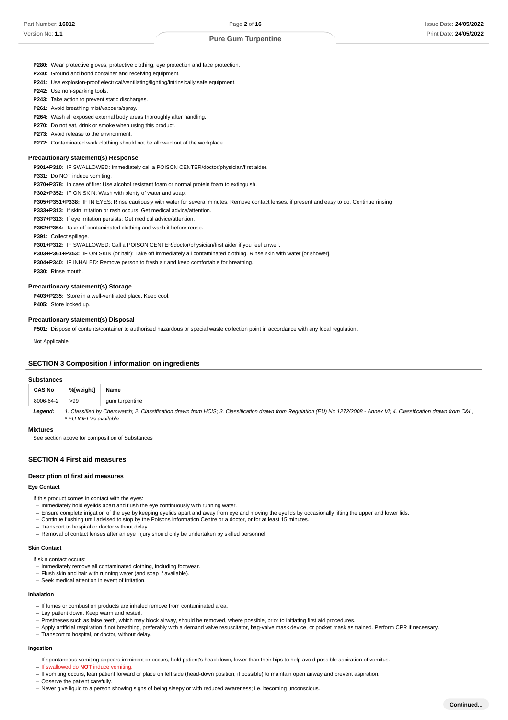**P280:** Wear protective gloves, protective clothing, eye protection and face protection.

P240: Ground and bond container and receiving equipment.

**P241:** Use explosion-proof electrical/ventilating/lighting/intrinsically safe equipment.

**P242:** Use non-sparking tools.

P243: Take action to prevent static discharges.

P261: Avoid breathing mist/vapours/spray.

P264: Wash all exposed external body areas thoroughly after handling.

P270: Do not eat, drink or smoke when using this product.

P273: Avoid release to the environment.

**P272:** Contaminated work clothing should not be allowed out of the workplace.

## **Precautionary statement(s) Response**

**: P301+P310** IF SWALLOWED: Immediately call a POISON CENTER/doctor/physician/first aider.

**P331:** Do NOT induce vomiting.

**: P370+P378** In case of fire: Use alcohol resistant foam or normal protein foam to extinguish.

**: P302+P352** IF ON SKIN: Wash with plenty of water and soap.

**: P305+P351+P338** IF IN EYES: Rinse cautiously with water for several minutes. Remove contact lenses, if present and easy to do. Continue rinsing.

P333+P313: If skin irritation or rash occurs: Get medical advice/attention.

P337+P313: If eye irritation persists: Get medical advice/attention.

P362+P364: Take off contaminated clothing and wash it before reuse.

#### **: P391** Collect spillage.

**: P301+P312** IF SWALLOWED: Call a POISON CENTER/doctor/physician/first aider if you feel unwell.

**: P303+P361+P353** IF ON SKIN (or hair): Take off immediately all contaminated clothing. Rinse skin with water [or shower].

**: P304+P340** IF INHALED: Remove person to fresh air and keep comfortable for breathing.

P330: Rinse mouth.

#### **Precautionary statement(s) Storage**

P403+P235: Store in a well-ventilated place. Keep cool. P405: Store locked up.

#### **Precautionary statement(s) Disposal**

P501: Dispose of contents/container to authorised hazardous or special waste collection point in accordance with any local regulation.

Not Applicable

# **SECTION 3 Composition / information on ingredients**

## **Substances**

| <b>CAS No</b> | %[weight] | Name           |
|---------------|-----------|----------------|
| 8006-64-2     | >99       | gum turpentine |

1. Classified by Chemwatch; 2. Classification drawn from HCIS; 3. Classification drawn from Regulation (EU) No 1272/2008 - Annex VI; 4. Classification drawn from C&L; \* EU IOELVs available **Legend:**

# **Mixtures**

See section above for composition of Substances

# **SECTION 4 First aid measures**

#### **Description of first aid measures**

## **Eye Contact**

If this product comes in contact with the eyes:

- Immediately hold eyelids apart and flush the eye continuously with running water.
- Ensure complete irrigation of the eye by keeping eyelids apart and away from eye and moving the eyelids by occasionally lifting the upper and lower lids. –
- Continue flushing until advised to stop by the Poisons Information Centre or a doctor, or for at least 15 minutes. –
- Transport to hospital or doctor without delay.
- Removal of contact lenses after an eye injury should only be undertaken by skilled personnel.

#### **Skin Contact**

If skin contact occurs:

- Immediately remove all contaminated clothing, including footwear.
- Flush skin and hair with running water (and soap if available).
- Seek medical attention in event of irritation.

# **Inhalation**

- If fumes or combustion products are inhaled remove from contaminated area.
- Lay patient down. Keep warm and rested.
- Prostheses such as false teeth, which may block airway, should be removed, where possible, prior to initiating first aid procedures.
- Apply artificial respiration if not breathing, preferably with a demand valve resuscitator, bag-valve mask device, or pocket mask as trained. Perform CPR if necessary.
- Transport to hospital, or doctor, without delay.

## **Ingestion**

– If spontaneous vomiting appears imminent or occurs, hold patient's head down, lower than their hips to help avoid possible aspiration of vomitus.

- If swallowed do **NOT** induce vomiting.
- If vomiting occurs, lean patient forward or place on left side (head-down position, if possible) to maintain open airway and prevent aspiration.
- Observe the patient carefully. –
- Never give liquid to a person showing signs of being sleepy or with reduced awareness; i.e. becoming unconscious. –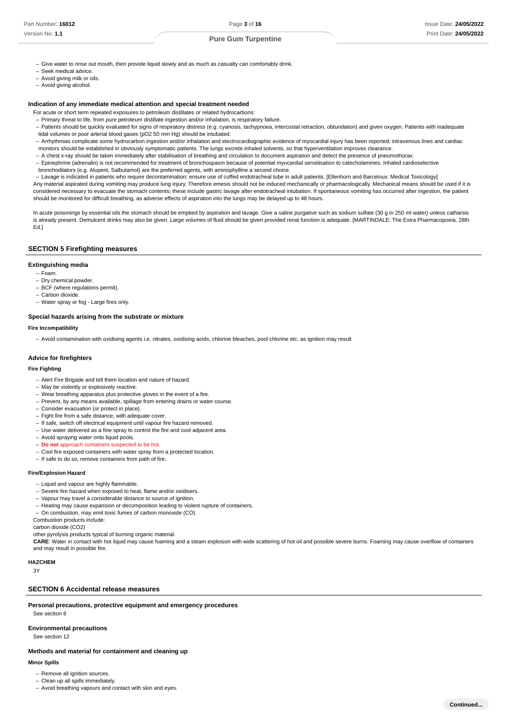- Give water to rinse out mouth, then provide liquid slowly and as much as casualty can comfortably drink.
- Seek medical advice.
- Avoid giving milk or oils.
- Avoid giving alcohol.

## **Indication of any immediate medical attention and special treatment needed**

- For acute or short term repeated exposures to petroleum distillates or related hydrocarbons:
- Primary threat to life, from pure petroleum distillate ingestion and/or inhalation, is respiratory failure. –
- Patients should be quickly evaluated for signs of respiratory distress (e.g. cyanosis, tachypnoea, intercostal retraction, obtundation) and given oxygen. Patients with inadequate tidal volumes or poor arterial blood gases (pO2 50 mm Hg) should be intubated.
- Arrhythmias complicate some hydrocarbon ingestion and/or inhalation and electrocardiographic evidence of myocardial injury has been reported; intravenous lines and cardiac monitors should be established in obviously symptomatic patients. The lungs excrete inhaled solvents, so that hyperventilation improves clearance.
- A chest x-ray should be taken immediately after stabilisation of breathing and circulation to document aspiration and detect the presence of pneumothorax.
- Epinephrine (adrenalin) is not recommended for treatment of bronchospasm because of potential myocardial sensitisation to catecholamines. Inhaled cardioselective bronchodilators (e.g. Alupent, Salbutamol) are the preferred agents, with aminophylline a second choice.
- Lavage is indicated in patients who require decontamination; ensure use of cuffed endotracheal tube in adult patients. [Ellenhorn and Barceloux: Medical Toxicology]

Any material aspirated during vomiting may produce lung injury. Therefore emesis should not be induced mechanically or pharmacologically. Mechanical means should be used if it is considered necessary to evacuate the stomach contents; these include gastric lavage after endotracheal intubation. If spontaneous vomiting has occurred after ingestion, the patient should be monitored for difficult breathing, as adverse effects of aspiration into the lungs may be delayed up to 48 hours.

In acute poisonings by essential oils the stomach should be emptied by aspiration and lavage. Give a saline purgative such as sodium sulfate (30 g in 250 ml water) unless catharsis is already present. Demulcent drinks may also be given. Large volumes of fluid should be given provided renal function is adequate. [MARTINDALE: The Extra Pharmacopoeia, 28th Ed.]

## **SECTION 5 Firefighting measures**

## **Extinguishing media**

- Foam.
- Dry chemical powder.
- BCF (where regulations permit). - Carbon dioxide.
- Water spray or fog Large fires only. –

#### **Special hazards arising from the substrate or mixture**

#### **Fire Incompatibility**

– Avoid contamination with oxidising agents i.e. nitrates, oxidising acids, chlorine bleaches, pool chlorine etc. as ignition may result

## **Advice for firefighters**

#### **Fire Fighting**

- Alert Fire Brigade and tell them location and nature of hazard.
- May be violently or explosively reactive.
- Wear breathing apparatus plus protective gloves in the event of a fire.
- Prevent, by any means available, spillage from entering drains or water course.
- Consider evacuation (or protect in place).
- Fight fire from a safe distance, with adequate cover.
- If safe, switch off electrical equipment until vapour fire hazard removed.
- Use water delivered as a fine spray to control the fire and cool adjacent area.
- Avoid spraying water onto liquid pools.
- **Do not** approach containers suspected to be hot.
- Cool fire exposed containers with water spray from a protected location.
- If safe to do so, remove containers from path of fire.

## **Fire/Explosion Hazard**

- Liquid and vapour are highly flammable.
- Severe fire hazard when exposed to heat, flame and/or oxidisers.
- Vapour may travel a considerable distance to source of ignition.
- Heating may cause expansion or decomposition leading to violent rupture of containers.
- On combustion, may emit toxic fumes of carbon monoxide (CO).

Combustion products include:

carbon dioxide (CO2)

other pyrolysis products typical of burning organic material.

**CARE**: Water in contact with hot liquid may cause foaming and a steam explosion with wide scattering of hot oil and possible severe burns. Foaming may cause overflow of containers and may result in possible fire.

# **HAZCHEM**

3Y

# **SECTION 6 Accidental release measures**

**Personal precautions, protective equipment and emergency procedures** See section 8

#### **Environmental precautions**

See section 12

#### **Methods and material for containment and cleaning up**

# **Minor Spills**

- Remove all ignition sources.
- Clean up all spills immediately.
- Avoid breathing vapours and contact with skin and eyes.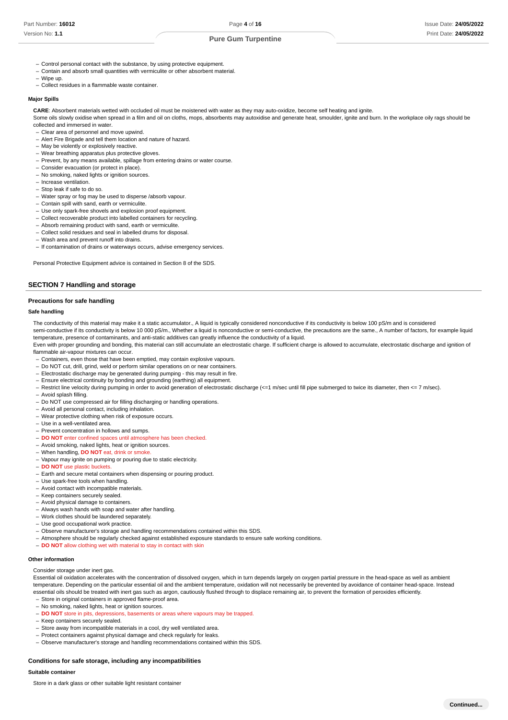**Continued...**

- Control personal contact with the substance, by using protective equipment.
- Contain and absorb small quantities with vermiculite or other absorbent material.
- Wipe up. –
- Collect residues in a flammable waste container.

#### **Major Spills**

**CARE**: Absorbent materials wetted with occluded oil must be moistened with water as they may auto-oxidize, become self heating and ignite.

Some oils slowly oxidise when spread in a film and oil on cloths, mops, absorbents may autoxidise and generate heat, smoulder, ignite and burn. In the workplace oily rags should be collected and immersed in water.

- Clear area of personnel and move upwind. –
- Alert Fire Brigade and tell them location and nature of hazard.
- May be violently or explosively reactive.
- Wear breathing apparatus plus protective gloves. –
- Prevent, by any means available, spillage from entering drains or water course.
- Consider evacuation (or protect in place).
- No smoking, naked lights or ignition sources.
- Increase ventilation.
- Stop leak if safe to do so.
- Water spray or fog may be used to disperse /absorb vapour. –
- Contain spill with sand, earth or vermiculite.
- Use only spark-free shovels and explosion proof equipment.
- Collect recoverable product into labelled containers for recycling.
- Absorb remaining product with sand, earth or vermiculite. - Collect solid residues and seal in labelled drums for disposal.
- Wash area and prevent runoff into drains. –
- If contamination of drains or waterways occurs, advise emergency services.

Personal Protective Equipment advice is contained in Section 8 of the SDS.

## **SECTION 7 Handling and storage**

#### **Precautions for safe handling**

#### **Safe handling**

The conductivity of this material may make it a static accumulator., A liquid is typically considered nonconductive if its conductivity is below 100 pS/m and is considered

semi-conductive if its conductivity is below 10 000 pS/m., Whether a liquid is nonconductive or semi-conductive, the precautions are the same., A number of factors, for example liquid temperature, presence of contaminants, and anti-static additives can greatly influence the conductivity of a liquid.

Even with proper grounding and bonding, this material can still accumulate an electrostatic charge. If sufficient charge is allowed to accumulate, electrostatic discharge and ignition of flammable air-vapour mixtures can occur.

- Containers, even those that have been emptied, may contain explosive vapours.
- Do NOT cut, drill, grind, weld or perform similar operations on or near containers.
- Electrostatic discharge may be generated during pumping this may result in fire.
- Ensure electrical continuity by bonding and grounding (earthing) all equipment.

- Restrict line velocity during pumping in order to avoid generation of electrostatic discharge (<=1 m/sec until fill pipe submerged to twice its diameter, then <= 7 m/sec).

- Avoid splash filling.
- Do NOT use compressed air for filling discharging or handling operations.
- Avoid all personal contact, including inhalation.
- Wear protective clothing when risk of exposure occurs.
- Use in a well-ventilated area.
- Prevent concentration in hollows and sumps.
- **DO NOT** enter confined spaces until atmosphere has been checked.
- Avoid smoking, naked lights, heat or ignition sources.
- When handling, **DO NOT** eat, drink or smoke. –
- Vapour may ignite on pumping or pouring due to static electricity.
- **DO NOT** use plastic buckets.
- Earth and secure metal containers when dispensing or pouring product.
- Use spark-free tools when handling.
- Avoid contact with incompatible materials.
- Keep containers securely sealed.
- Avoid physical damage to containers.
- Always wash hands with soap and water after handling.
- Work clothes should be laundered separately. –
- Use good occupational work practice.
- Observe manufacturer's storage and handling recommendations contained within this SDS.
- Atmosphere should be regularly checked against established exposure standards to ensure safe working conditions. –
- **DO NOT** allow clothing wet with material to stay in contact with skin

## **Other information**

Consider storage under inert gas.

Essential oil oxidation accelerates with the concentration of dissolved oxygen, which in turn depends largely on oxygen partial pressure in the head-space as well as ambient temperature. Depending on the particular essential oil and the ambient temperature, oxidation will not necessarily be prevented by avoidance of container head-space. Instead essential oils should be treated with inert gas such as argon, cautiously flushed through to displace remaining air, to prevent the formation of peroxides efficiently. - Store in original containers in approved flame-proof area.

- No smoking, naked lights, heat or ignition sources.
- **DO NOT** store in pits, depressions, basements or areas where vapours may be trapped.
- Keep containers securely sealed.
- Store away from incompatible materials in a cool, dry well ventilated area.
- Protect containers against physical damage and check regularly for leaks.
- Observe manufacturer's storage and handling recommendations contained within this SDS.

#### **Conditions for safe storage, including any incompatibilities**

#### **Suitable containe**

Store in a dark glass or other suitable light resistant container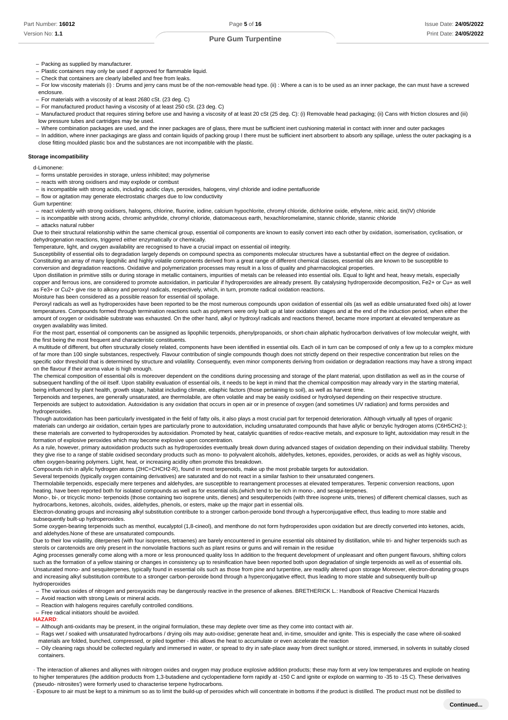- Packing as supplied by manufacturer.
- Plastic containers may only be used if approved for flammable liquid.
- Check that containers are clearly labelled and free from leaks. –
- For low viscosity materials (i) : Drums and jerry cans must be of the non-removable head type. (ii) : Where a can is to be used as an inner package, the can must have a screwed enclosure.
- For materials with a viscosity of at least 2680 cSt. (23 deg. C)
- For manufactured product having a viscosity of at least 250 cSt. (23 deg. C)
- Manufactured product that requires stirring before use and having a viscosity of at least 20 cSt (25 deg. C): (i) Removable head packaging; (ii) Cans with friction closures and (iii) low pressure tubes and cartridges may be used.
- Where combination packages are used, and the inner packages are of glass, there must be sufficient inert cushioning material in contact with inner and outer packages –
- In addition, where inner packagings are glass and contain liquids of packing group I there must be sufficient inert absorbent to absorb any spillage, unless the outer packaging is a close fitting moulded plastic box and the substances are not incompatible with the plastic.

#### **Storage incompatibility**

d-Limonene:

- forms unstable peroxides in storage, unless inhibited; may polymerise
- reacts with strong oxidisers and may explode or combust
- is incompatible with strong acids, including acidic clays, peroxides, halogens, vinyl chloride and iodine pentafluoride –
- flow or agitation may generate electrostatic charges due to low conductivity

Gum turpentine:

- react violently with strong oxidisers, halogens, chlorine, fluorine, iodine, calcium hypochlorite, chromyl chloride, dichlorine oxide, ethylene, nitric acid, tin(IV) chloride –
- is incompatible with strong acids, chromic anhydride, chromyl chloride, diatomaceous earth, hexachloromelamine, stannic chloride, stannic chloride - attacks natural rubber

Due to their structural relationship within the same chemical group, essential oil components are known to easily convert into each other by oxidation, isomerisation, cyclisation, or dehydrogenation reactions, triggered either enzymatically or chemically.

Temperature, light, and oxygen availability are recognised to have a crucial impact on essential oil integrity.

Susceptibility of essential oils to degradation largely depends on compound spectra as components molecular structures have a substantial effect on the degree of oxidation. Constituting an array of many lipophilic and highly volatile components derived from a great range of different chemical classes, essential oils are known to be susceptible to conversion and degradation reactions. Oxidative and polymerization processes may result in a loss of quality and pharmacological properties.

Upon distillation in primitive stills or during storage in metallic containers, impurities of metals can be released into essential oils. Equal to light and heat, heavy metals, especially copper and ferrous ions, are considered to promote autoxidation, in particular if hydroperoxides are already present. By catalysing hydroperoxide decomposition, Fe2+ or Cu+ as well as Fe3+ or Cu2+ give rise to alkoxy and peroxyl radicals, respectively, which, in turn, promote radical oxidation reactions.

Moisture has been considered as a possible reason for essential oil spoilage.

Peroxyl radicals as well as hydroperoxides have been reported to be the most numerous compounds upon oxidation of essential oils (as well as edible unsaturated fixed oils) at lower temperatures. Compounds formed through termination reactions such as polymers were only built up at later oxidation stages and at the end of the induction period, when either the amount of oxygen or oxidisable substrate was exhausted. On the other hand, alkyl or hydroxyl radicals and reactions thereof, became more important at elevated temperature as oxygen availability was limited.

For the most part, essential oil components can be assigned as lipophilic terpenoids, phenylpropanoids, or short-chain aliphatic hydrocarbon derivatives of low molecular weight, with the first being the most frequent and characteristic constituents.

A multitude of different, but often structurally closely related, components have been identified in essential oils. Each oil in turn can be composed of only a few up to a complex mixture of far more than 100 single substances, respectively. Flavour contribution of single compounds though does not strictly depend on their respective concentration but relies on the specific odor threshold that is determined by structure and volatility. Consequently, even minor components deriving from oxidation or degradation reactions may have a strong impact on the flavour if their aroma value is high enough.

The chemical composition of essential oils is moreover dependent on the conditions during processing and storage of the plant material, upon distillation as well as in the course of subsequent handling of the oil itself. Upon stability evaluation of essential oils, it needs to be kept in mind that the chemical composition may already vary in the starting material, being influenced by plant health, growth stage, habitat including climate, edaphic factors (those pertaining to soil), as well as harvest time.

Terpenoids and terpenes, are generally unsaturated, are thermolabile, are often volatile and may be easily oxidised or hydrolysed depending on their respective structure. Terpenoids are subject to autoxidation. Autoxidation is any oxidation that occurs in open air or in presence of oxygen (and sometimes UV radiation) and forms peroxides and hydroperoxides.

Though autoxidation has been particularly investigated in the field of fatty oils, it also plays a most crucial part for terpenoid deterioration. Although virtually all types of organic materials can undergo air oxidation, certain types are particularly prone to autoxidation, including unsaturated compounds that have allylic or benzylic hydrogen atoms (C6H5CH2-); these materials are converted to hydroperoxides by autoxidation. Promoted by heat, catalytic quantities of redox-reactive metals, and exposure to light, autoxidation may result in the formation of explosive peroxides which may become explosive upon concentration.

As a rule, however, primary autoxidation products such as hydroperoxides eventually break down during advanced stages of oxidation depending on their individual stability. Thereby they give rise to a range of stable oxidised secondary products such as mono- to polyvalent alcohols, aldehydes, ketones, epoxides, peroxides, or acids as well as highly viscous, often oxygen-bearing polymers. Light, heat, or increasing acidity often promote this breakdown.

Compounds rich in allylic hydrogen atoms (2HC=CHCH2-R), found in most terpenoids, make up the most probable targets for autoxidation.

Several terpenoids (typically oxygen containing derivatives) are saturated and do not react in a similar fashion to their unsaturated congeners.

Thermolabile terpenoids, especially mere terpenes and aldehydes, are susceptible to rearrangement processes at elevated temperatures. Terpenic conversion reactions, upon heating, have been reported both for isolated compounds as well as for essential oils.(which tend to be rich in mono-, and sesqui-terpenes.

Mono-, bi-, or tricyclic mono- terpenoids (those containing two isoprene units, dienes) and sesquiterpenoids (with three isoprene units, trienes) of different chemical classes, such as hydrocarbons, ketones, alcohols, oxides, aldehydes, phenols, or esters, make up the major part in essential oils.

Electron-donating groups and increasing alkyl substitution contribute to a stronger carbon-peroxide bond through a hyperconjugative effect, thus leading to more stable and subsequently built-up hydroperoxides.

Some oxygen-bearing terpenoids such as menthol, eucalyptol (1,8-cineol), and menthone do not form hydroperoxides upon oxidation but are directly converted into ketones, acids, and aldehydes.None of these are unsaturated compounds.

Due to their low volatility, diterpenes (with four isoprenes, tetraenes) are barely encountered in genuine essential oils obtained by distillation, while tri- and higher terpenoids such as sterols or carotenoids are only present in the nonvolatile fractions such as plant resins or gums and will remain in the residue

Aging processes generally come along with a more or less pronounced quality loss In addition to the frequent development of unpleasant and often pungent flavours, shifting colors such as the formation of a vellow staining or changes in consistency up to resinification have been reported both upon degradation of single terpenoids as well as of essential oils. Unsaturated mono- and sesquiterpenes, typically found in essential oils such as those from pine and turpentine, are readily altered upon storage Moreover, electron-donating groups and increasing alkyl substitution contribute to a stronger carbon-peroxide bond through a hyperconjugative effect, thus leading to more stable and subsequently built-up hydroperoxides

The various oxides of nitrogen and peroxyacids may be dangerously reactive in the presence of alkenes. BRETHERICK L.: Handbook of Reactive Chemical Hazards –

- Avoid reaction with strong Lewis or mineral acids.
- Reaction with halogens requires carefully controlled conditions.

- Free radical initiators should be avoided. **HAZARD**:

- Although anti-oxidants may be present, in the original formulation, these may deplete over time as they come into contact with air.
- Rags wet / soaked with unsaturated hydrocarbons / drying oils may auto-oxidise; generate heat and, in-time, smoulder and ignite. This is especially the case where oil-soaked materials are folded, bunched, compressed, or piled together - this allows the heat to accumulate or even accelerate the reaction
- Oily cleaning rags should be collected regularly and immersed in water, or spread to dry in safe-place away from direct sunlight.or stored, immersed, in solvents in suitably closed containers.

· The interaction of alkenes and alkynes with nitrogen oxides and oxygen may produce explosive addition products; these may form at very low temperatures and explode on heating to higher temperatures (the addition products from 1,3-butadiene and cyclopentadiene form rapidly at -150 C and ignite or explode on warming to -35 to -15 C). These derivatives ('pseudo- nitrosites') were formerly used to characterise terpene hydrocarbons.

· Exposure to air must be kept to a minimum so as to limit the build-up of peroxides which will concentrate in bottoms if the product is distilled. The product must not be distilled to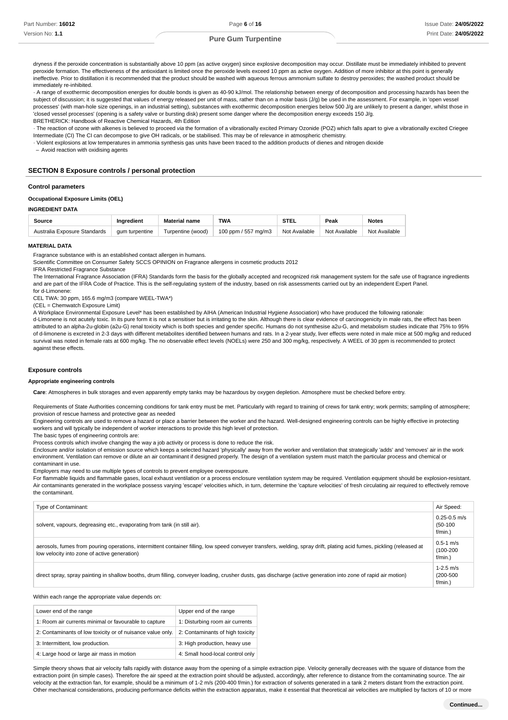dryness if the peroxide concentration is substantially above 10 ppm (as active oxygen) since explosive decomposition may occur. Distillate must be immediately inhibited to prevent peroxide formation. The effectiveness of the antioxidant is limited once the peroxide levels exceed 10 ppm as active oxygen. Addition of more inhibitor at this point is generally ineffective. Prior to distillation it is recommended that the product should be washed with aqueous ferrous ammonium sulfate to destroy peroxides; the washed product should be immediately re-inhibited.

· A range of exothermic decomposition energies for double bonds is given as 40-90 kJ/mol. The relationship between energy of decomposition and processing hazards has been the subject of discussion; it is suggested that values of energy released per unit of mass, rather than on a molar basis (J/g) be used in the assessment. For example, in 'open vessel processes' (with man-hole size openings, in an industrial setting), substances with exothermic decomposition energies below 500 J/g are unlikely to present a danger, whilst those in 'closed vessel processes' (opening is a safety valve or bursting disk) present some danger where the decomposition energy exceeds 150 J/g. BRETHERICK: Handbook of Reactive Chemical Hazards, 4th Edition

· The reaction of ozone with alkenes is believed to proceed via the formation of a vibrationally excited Primary Ozonide (POZ) which falls apart to give a vibrationally excited Criegee Intermediate (CI) The CI can decompose to give OH radicals, or be stabilised. This may be of relevance in atmospheric chemistry.

· Violent explosions at low temperatures in ammonia synthesis gas units have been traced to the addition products of dienes and nitrogen dioxide

– Avoid reaction with oxidising agents

## **SECTION 8 Exposure controls / personal protection**

#### **Control parameters**

## **Occupational Exposure Limits (OEL)**

# **INGREDIENT DATA**

| Source                       | Inaredient     | <b>Material name</b> | <b>TWA</b>          | <b>STEL</b>   | Peak          | <b>Notes</b>  |
|------------------------------|----------------|----------------------|---------------------|---------------|---------------|---------------|
| Australia Exposure Standards | aum turpentine | Turpentine (wood)    | 100 ppm / 557 mg/m3 | Not Available | Not Available | Not Available |

#### **MATERIAL DATA**

Fragrance substance with is an established contact allergen in humans.

Scientific Committee on Consumer Safety SCCS OPINION on Fragrance allergens in cosmetic products 2012

IFRA Restricted Fragrance Substance

The International Fragrance Association (IFRA) Standards form the basis for the globally accepted and recognized risk management system for the safe use of fragrance ingredients and are part of the IFRA Code of Practice. This is the self-regulating system of the industry, based on risk assessments carried out by an independent Expert Panel. for d-Limonene:

CEL TWA: 30 ppm, 165.6 mg/m3 (compare WEEL-TWA\*)

(CEL = Chemwatch Exposure Limit)

A Workplace Environmental Exposure Level\* has been established by AIHA (American Industrial Hygiene Association) who have produced the following rationale:

d-Limonene is not acutely toxic. In its pure form it is not a sensitiser but is irritating to the skin. Although there is clear evidence of carcinogenicity in male rats, the effect has been attributed to an alpha-2u-globin (a2u-G) renal toxicity which is both species and gender specific. Humans do not synthesise a2u-G, and metabolism studies indicate that 75% to 95% of d-limonene is excreted in 2-3 days with different metabolites identified between humans and rats. In a 2-year study, liver effects were noted in male mice at 500 mg/kg and reduced survival was noted in female rats at 600 mg/kg. The no observable effect levels (NOELs) were 250 and 300 mg/kg, respectively. A WEEL of 30 ppm is recommended to protect against these effects.

#### **Exposure controls**

#### **Appropriate engineering controls**

**Care**: Atmospheres in bulk storages and even apparently empty tanks may be hazardous by oxygen depletion. Atmosphere must be checked before entry.

Requirements of State Authorities concerning conditions for tank entry must be met. Particularly with regard to training of crews for tank entry; work permits; sampling of atmosphere; provision of rescue harness and protective gear as needed

Engineering controls are used to remove a hazard or place a barrier between the worker and the hazard. Well-designed engineering controls can be highly effective in protecting workers and will typically be independent of worker interactions to provide this high level of protection.

The basic types of engineering controls are:

Process controls which involve changing the way a job activity or process is done to reduce the risk.

Enclosure and/or isolation of emission source which keeps a selected hazard 'physically' away from the worker and ventilation that strategically 'adds' and 'removes' air in the work environment. Ventilation can remove or dilute an air contaminant if designed properly. The design of a ventilation system must match the particular process and chemical or contaminant in use.

Employers may need to use multiple types of controls to prevent employee overexposure.

For flammable liquids and flammable gases, local exhaust ventilation or a process enclosure ventilation system may be required. Ventilation equipment should be explosion-resistant. Air contaminants generated in the workplace possess varying 'escape' velocities which, in turn, determine the 'capture velocities' of fresh circulating air required to effectively remove the contaminant.

| Type of Contaminant:                                                                                                                                                                                                   | Air Speed:                                   |
|------------------------------------------------------------------------------------------------------------------------------------------------------------------------------------------------------------------------|----------------------------------------------|
| solvent, vapours, degreasing etc., evaporating from tank (in still air).                                                                                                                                               | $0.25 - 0.5$ m/s<br>$(50-100)$<br>$f/min.$ ) |
| aerosols, fumes from pouring operations, intermittent container filling, low speed conveyer transfers, welding, spray drift, plating acid fumes, pickling (released at<br>low velocity into zone of active generation) | $0.5 - 1$ m/s<br>$(100 - 200)$<br>$f/min.$ ) |
| direct spray, spray painting in shallow booths, drum filling, conveyer loading, crusher dusts, gas discharge (active generation into zone of rapid air motion)                                                         | $1-2.5$ m/s<br>$(200 - 500)$<br>$f/min.$ )   |

Within each range the appropriate value depends on:

| Lower end of the range                                     | Upper end of the range           |
|------------------------------------------------------------|----------------------------------|
| 1: Room air currents minimal or favourable to capture      | 1: Disturbing room air currents  |
| 2: Contaminants of low toxicity or of nuisance value only. | 2: Contaminants of high toxicity |
| 3: Intermittent, low production.                           | 3: High production, heavy use    |
| 4: Large hood or large air mass in motion                  | 4: Small hood-local control only |

Simple theory shows that air velocity falls rapidly with distance away from the opening of a simple extraction pipe. Velocity generally decreases with the square of distance from the extraction point (in simple cases). Therefore the air speed at the extraction point should be adjusted, accordingly, after reference to distance from the contaminating source. The air velocity at the extraction fan, for example, should be a minimum of 1-2 m/s (200-400 f/min.) for extraction of solvents generated in a tank 2 meters distant from the extraction point. Other mechanical considerations, producing performance deficits within the extraction apparatus, make it essential that theoretical air velocities are multiplied by factors of 10 or more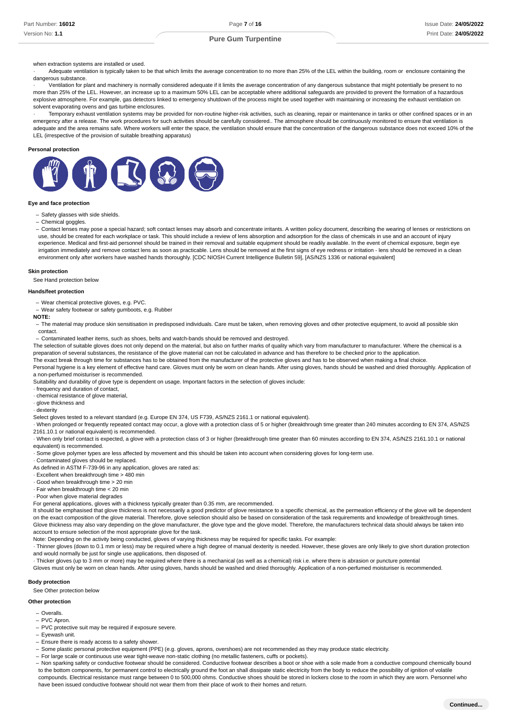when extraction systems are installed or used.

Adequate ventilation is typically taken to be that which limits the average concentration to no more than 25% of the LEL within the building, room or enclosure containing the dangerous substance.

· Ventilation for plant and machinery is normally considered adequate if it limits the average concentration of any dangerous substance that might potentially be present to no more than 25% of the LEL. However, an increase up to a maximum 50% LEL can be acceptable where additional safeguards are provided to prevent the formation of a hazardous explosive atmosphere. For example, gas detectors linked to emergency shutdown of the process might be used together with maintaining or increasing the exhaust ventilation on solvent evaporating ovens and gas turbine enclosures.

Temporary exhaust ventilation systems may be provided for non-routine higher-risk activities, such as cleaning, repair or maintenance in tanks or other confined spaces or in an emergency after a release. The work procedures for such activities should be carefully considered.. The atmosphere should be continuously monitored to ensure that ventilation is adequate and the area remains safe. Where workers will enter the space, the ventilation should ensure that the concentration of the dangerous substance does not exceed 10% of the LEL (irrespective of the provision of suitable breathing apparatus)

#### **Personal protection**



## **Eye and face protection**

- Safety glasses with side shields.
- Chemical goggles. –

- Contact lenses may pose a special hazard; soft contact lenses may absorb and concentrate irritants. A written policy document, describing the wearing of lenses or restrictions on use, should be created for each workplace or task. This should include a review of lens absorption and adsorption for the class of chemicals in use and an account of injury experience. Medical and first-aid personnel should be trained in their removal and suitable equipment should be readily available. In the event of chemical exposure, begin eye irrigation immediately and remove contact lens as soon as practicable. Lens should be removed at the first signs of eye redness or irritation - lens should be removed in a clean environment only after workers have washed hands thoroughly. [CDC NIOSH Current Intelligence Bulletin 59], [AS/NZS 1336 or national equivalent]

#### **Skin protection**

See Hand protection below

#### **Hands/feet protection**

- Wear chemical protective gloves, e.g. PVC.

Wear safety footwear or safety gumboots, e.g. Rubber –

#### **NOTE:**

- The material may produce skin sensitisation in predisposed individuals. Care must be taken, when removing gloves and other protective equipment, to avoid all possible skin contact.

Contaminated leather items, such as shoes, belts and watch-bands should be removed and destroyed. –

The selection of suitable gloves does not only depend on the material, but also on further marks of quality which vary from manufacturer to manufacturer. Where the chemical is a preparation of several substances, the resistance of the glove material can not be calculated in advance and has therefore to be checked prior to the application.

The exact break through time for substances has to be obtained from the manufacturer of the protective gloves and has to be observed when making a final choice.

Personal hygiene is a key element of effective hand care. Gloves must only be worn on clean hands. After using gloves, hands should be washed and dried thoroughly. Application of a non-perfumed moisturiser is recommended.

Suitability and durability of glove type is dependent on usage. Important factors in the selection of gloves include:

· frequency and duration of contact, · chemical resistance of glove material,

· glove thickness and

· dexterity

Select gloves tested to a relevant standard (e.g. Europe EN 374, US F739, AS/NZS 2161.1 or national equivalent).

· When prolonged or frequently repeated contact may occur, a glove with a protection class of 5 or higher (breakthrough time greater than 240 minutes according to EN 374, AS/NZS 2161.10.1 or national equivalent) is recommended.

· When only brief contact is expected, a glove with a protection class of 3 or higher (breakthrough time greater than 60 minutes according to EN 374, AS/NZS 2161.10.1 or national equivalent) is recommended.

· Some glove polymer types are less affected by movement and this should be taken into account when considering gloves for long-term use.

· Contaminated gloves should be replaced.

As defined in ASTM F-739-96 in any application, gloves are rated as:

· Excellent when breakthrough time > 480 min

· Good when breakthrough time > 20 min

· Fair when breakthrough time < 20 min

· Poor when glove material degrades

For general applications, gloves with a thickness typically greater than 0.35 mm, are recommended.

It should be emphasised that glove thickness is not necessarily a good predictor of glove resistance to a specific chemical, as the permeation efficiency of the glove will be dependent on the exact composition of the glove material. Therefore, glove selection should also be based on consideration of the task requirements and knowledge of breakthrough times. Glove thickness may also vary depending on the glove manufacturer, the glove type and the glove model. Therefore, the manufacturers technical data should always be taken into account to ensure selection of the most appropriate glove for the task.

Note: Depending on the activity being conducted, gloves of varying thickness may be required for specific tasks. For example:

· Thinner gloves (down to 0.1 mm or less) may be required where a high degree of manual dexterity is needed. However, these gloves are only likely to give short duration protection and would normally be just for single use applications, then disposed of.

· Thicker gloves (up to 3 mm or more) may be required where there is a mechanical (as well as a chemical) risk i.e. where there is abrasion or puncture potential

Gloves must only be worn on clean hands. After using gloves, hands should be washed and dried thoroughly. Application of a non-perfumed moisturiser is recommended.

## **Body protection**

See Other protection below

#### **Other protection**

- Overalls. –
- PVC Apron. –
- PVC protective suit may be required if exposure severe.
- Eyewash unit.
- Ensure there is ready access to a safety shower.
- Some plastic personal protective equipment (PPE) (e.g. gloves, aprons, overshoes) are not recommended as they may produce static electricity.
- For large scale or continuous use wear tight-weave non-static clothing (no metallic fasteners, cuffs or pockets). –

- Non sparking safety or conductive footwear should be considered. Conductive footwear describes a boot or shoe with a sole made from a conductive compound chemically bound to the bottom components, for permanent control to electrically ground the foot an shall dissipate static electricity from the body to reduce the possibility of ignition of volatile compounds. Electrical resistance must range between 0 to 500,000 ohms. Conductive shoes should be stored in lockers close to the room in which they are worn. Personnel who have been issued conductive footwear should not wear them from their place of work to their homes and return.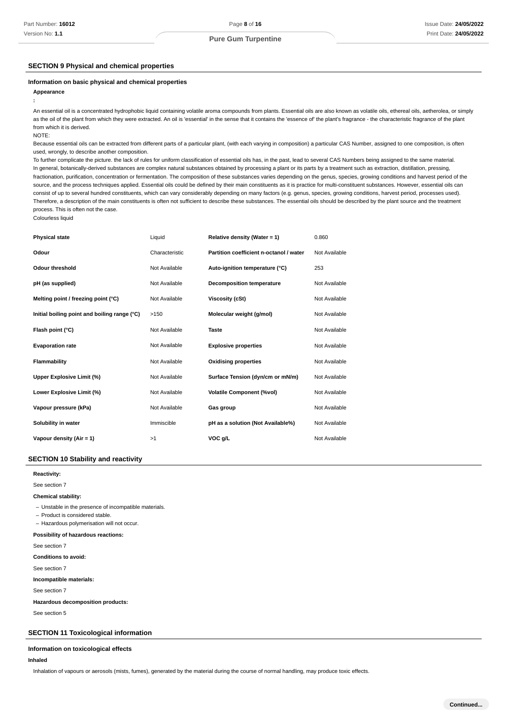# **SECTION 9 Physical and chemical properties**

#### **Information on basic physical and chemical properties**

**Appearance**

An essential oil is a concentrated hydrophobic liquid containing volatile aroma compounds from plants. Essential oils are also known as volatile oils, ethereal oils, aetherolea, or simply as the oil of the plant from which they were extracted. An oil is 'essential' in the sense that it contains the 'essence of' the plant's fragrance - the characteristic fragrance of the plant from which it is derived.

NOTE:

**:**

Because essential oils can be extracted from different parts of a particular plant, (with each varying in composition) a particular CAS Number, assigned to one composition, is often used, wrongly, to describe another composition.

To further complicate the picture. the lack of rules for uniform classification of essential oils has, in the past, lead to several CAS Numbers being assigned to the same material. In general, botanically-derived substances are complex natural substances obtained by processing a plant or its parts by a treatment such as extraction, distillation, pressing, fractionation, purification, concentration or fermentation. The composition of these substances varies depending on the genus, species, growing conditions and harvest period of the source, and the process techniques applied. Essential oils could be defined by their main constituents as it is practice for multi-constituent substances. However, essential oils can consist of up to several hundred constituents, which can vary considerably depending on many factors (e.g. genus, species, growing conditions, harvest period, processes used). Therefore, a description of the main constituents is often not sufficient to describe these substances. The essential oils should be described by the plant source and the treatment process. This is often not the case. Colourless liquid

| <b>Physical state</b>                        | Liquid         | Relative density (Water = 1)            | 0.860         |
|----------------------------------------------|----------------|-----------------------------------------|---------------|
| Odour                                        | Characteristic | Partition coefficient n-octanol / water | Not Available |
| Odour threshold                              | Not Available  | Auto-ignition temperature (°C)          | 253           |
| pH (as supplied)                             | Not Available  | <b>Decomposition temperature</b>        | Not Available |
| Melting point / freezing point (°C)          | Not Available  | <b>Viscosity (cSt)</b>                  | Not Available |
| Initial boiling point and boiling range (°C) | >150           | Molecular weight (g/mol)                | Not Available |
| Flash point (°C)                             | Not Available  | <b>Taste</b>                            | Not Available |
| <b>Evaporation rate</b>                      | Not Available  | <b>Explosive properties</b>             | Not Available |
| Flammability                                 | Not Available  | <b>Oxidising properties</b>             | Not Available |
| Upper Explosive Limit (%)                    | Not Available  | Surface Tension (dyn/cm or mN/m)        | Not Available |
| Lower Explosive Limit (%)                    | Not Available  | <b>Volatile Component (%vol)</b>        | Not Available |
| Vapour pressure (kPa)                        | Not Available  | Gas group                               | Not Available |
| Solubility in water                          | Immiscible     | pH as a solution (Not Available%)       | Not Available |
| Vapour density (Air = 1)                     | >1             | VOC g/L                                 | Not Available |
|                                              |                |                                         |               |

# **SECTION 10 Stability and reactivity**

**: Reactivity**

See section 7

#### **: Chemical stability**

- Unstable in the presence of incompatible materials.

- Product is considered stable.

- Hazardous polymerisation will not occur.

#### **: Possibility of hazardous reactions**

See section 7

**: Conditions to avoid**

See section 7

**: Incompatible materials**

See section 7

**: Hazardous decomposition products**

See section 5

# **SECTION 11 Toxicological information**

# **Information on toxicological effects**

## **Inhaled**

Inhalation of vapours or aerosols (mists, fumes), generated by the material during the course of normal handling, may produce toxic effects.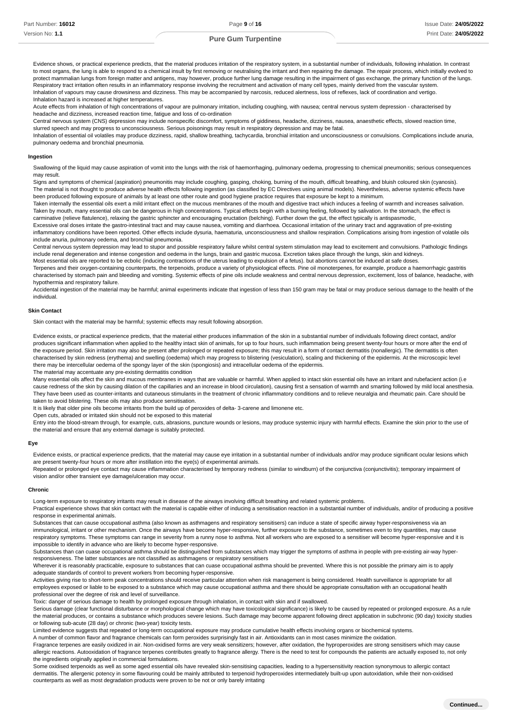Evidence shows, or practical experience predicts, that the material produces irritation of the respiratory system, in a substantial number of individuals, following inhalation. In contrast to most organs, the lung is able to respond to a chemical insult by first removing or neutralising the irritant and then repairing the damage. The repair process, which initially evolved to protect mammalian lungs from foreign matter and antigens, may however, produce further lung damage resulting in the impairment of gas exchange, the primary function of the lungs. Respiratory tract irritation often results in an inflammatory response involving the recruitment and activation of many cell types, mainly derived from the vascular system. Inhalation of vapours may cause drowsiness and dizziness. This may be accompanied by narcosis, reduced alertness, loss of reflexes, lack of coordination and vertigo. Inhalation hazard is increased at higher temperatures.

Acute effects from inhalation of high concentrations of vapour are pulmonary irritation, including coughing, with nausea; central nervous system depression - characterised by headache and dizziness, increased reaction time, fatigue and loss of co-ordination

Central nervous system (CNS) depression may include nonspecific discomfort, symptoms of giddiness, headache, dizziness, nausea, anaesthetic effects, slowed reaction time, slurred speech and may progress to unconsciousness. Serious poisonings may result in respiratory depression and may be fatal.

Inhalation of essential oil volatiles may produce dizziness, rapid, shallow breathing, tachycardia, bronchial irritation and unconsciousness or convulsions. Complications include anuria, pulmonary oedema and bronchial pneumonia.

#### **Ingestion**

Swallowing of the liquid may cause aspiration of vomit into the lungs with the risk of haemorrhaging, pulmonary oedema, progressing to chemical pneumonitis; serious consequences may result.

Signs and symptoms of chemical (aspiration) pneumonitis may include coughing, gasping, choking, burning of the mouth, difficult breathing, and bluish coloured skin (cyanosis). The material is not thought to produce adverse health effects following ingestion (as classified by EC Directives using animal models). Nevertheless, adverse systemic effects have been produced following exposure of animals by at least one other route and good hygiene practice requires that exposure be kept to a minimum.

Taken internally the essential oils exert a mild irritant effect on the mucous membranes of the mouth and digestive tract which induces a feeling of warmth and increases salivation. Taken by mouth, many essential oils can be dangerous in high concentrations. Typical effects begin with a burning feeling, followed by salivation. In the stomach, the effect is carminative (relieve flatulence), relaxing the gastric sphincter and encouraging eructation (belching). Further down the gut, the effect typically is antispasmodic,

Excessive oral doses irritate the gastro-intestinal tract and may cause nausea, vomiting and diarrhoea. Occasional irritation of the urinary tract and aggravation of pre-existing inflammatory conditions have been reported. Other effects include dysuria, haematuria, unconsciousness and shallow respiration. Complications arising from ingestion of volatile oils include anuria, pulmonary oedema, and bronchial pneumonia.

Central nervous system depression may lead to stupor and possible respiratory failure whilst central system stimulation may lead to excitement and convulsions. Pathologic findings include renal degeneration and intense congestion and oedema in the lungs, brain and gastric mucosa. Excretion takes place through the lungs, skin and kidneys.

Most essential oils are reported to be ecbolic (inducing contractions of the uterus leading to expulsion of a fetus). but abortions cannot be induced at safe doses.

Terpenes and their oxygen-containing counterparts, the terpenoids, produce a variety of physiological effects. Pine oil monoterpenes, for example, produce a haemorrhagic gastritis characterised by stomach pain and bleeding and vomiting. Systemic effects of pine oils include weakness and central nervous depression, excitement, loss of balance, headache, with hypothermia and respiratory failure.

Accidental ingestion of the material may be harmful; animal experiments indicate that ingestion of less than 150 gram may be fatal or may produce serious damage to the health of the individual.

#### **Skin Contact**

Skin contact with the material may be harmful; systemic effects may result following absorption.

Evidence exists, or practical experience predicts, that the material either produces inflammation of the skin in a substantial number of individuals following direct contact, and/or produces significant inflammation when applied to the healthy intact skin of animals, for up to four hours, such inflammation being present twenty-four hours or more after the end of the exposure period. Skin irritation may also be present after prolonged or repeated exposure; this may result in a form of contact dermatitis (nonallergic). The dermatitis is often characterised by skin redness (erythema) and swelling (oedema) which may progress to blistering (vesiculation), scaling and thickening of the epidermis. At the microscopic level there may be intercellular oedema of the spongy layer of the skin (spongiosis) and intracellular oedema of the epidermis.

The material may accentuate any pre-existing dermatitis condition

Many essential oils affect the skin and mucous membranes in ways that are valuable or harmful. When applied to intact skin essential oils have an irritant and rubefacient action (i.e cause redness of the skin by causing dilation of the capillaries and an increase in blood circulation), causing first a sensation of warmth and smarting followed by mild local anesthesia. They have been used as counter-irritants and cutaneous stimulants in the treatment of chronic inflammatory conditions and to relieve neuralgia and rheumatic pain. Care should be taken to avoid blistering. These oils may also produce sensitisation.

It is likely that older pine oils become irritants from the build up of peroxides of delta- 3-carene and limonene etc.

Open cuts, abraded or irritated skin should not be exposed to this material

Entry into the blood-stream through, for example, cuts, abrasions, puncture wounds or lesions, may produce systemic injury with harmful effects. Examine the skin prior to the use of the material and ensure that any external damage is suitably protected.

# **Eye**

Evidence exists, or practical experience predicts, that the material may cause eye irritation in a substantial number of individuals and/or may produce significant ocular lesions which are present twenty-four hours or more after instillation into the eye(s) of experimental animals.

Repeated or prolonged eye contact may cause inflammation characterised by temporary redness (similar to windburn) of the conjunctiva (conjunctivitis); temporary impairment of vision and/or other transient eye damage/ulceration may occur.

## **Chronic**

Long-term exposure to respiratory irritants may result in disease of the airways involving difficult breathing and related systemic problems.

Practical experience shows that skin contact with the material is capable either of inducing a sensitisation reaction in a substantial number of individuals, and/or of producing a positive response in experimental animals.

Substances that can cause occupational asthma (also known as asthmagens and respiratory sensitisers) can induce a state of specific airway hyper-responsiveness via an immunological, irritant or other mechanism. Once the airways have become hyper-responsive, further exposure to the substance, sometimes even to tiny quantities, may cause respiratory symptoms. These symptoms can range in severity from a runny nose to asthma. Not all workers who are exposed to a sensitiser will become hyper-responsive and it is impossible to identify in advance who are likely to become hyper-responsive.

Substances than can cuase occupational asthma should be distinguished from substances which may trigger the symptoms of asthma in people with pre-existing air-way hyperresponsiveness. The latter substances are not classified as asthmagens or respiratory sensitisers

Wherever it is reasonably practicable, exposure to substances that can cuase occupational asthma should be prevented. Where this is not possible the primary aim is to apply adequate standards of control to prevent workers from becoming hyper-responsive.

Activities giving rise to short-term peak concentrations should receive particular attention when risk management is being considered. Health surveillance is appropriate for all employees exposed or liable to be exposed to a substance which may cause occupational asthma and there should be appropriate consultation with an occupational health professional over the degree of risk and level of surveillance.

Toxic: danger of serious damage to health by prolonged exposure through inhalation, in contact with skin and if swallowed.

Serious damage (clear functional disturbance or morphological change which may have toxicological significance) is likely to be caused by repeated or prolonged exposure. As a rule the material produces, or contains a substance which produces severe lesions. Such damage may become apparent following direct application in subchronic (90 day) toxicity studies or following sub-acute (28 day) or chronic (two-year) toxicity tests.

Limited evidence suggests that repeated or long-term occupational exposure may produce cumulative health effects involving organs or biochemical systems.

A number of common flavor and fragrance chemicals can form peroxides surprisingly fast in air. Antioxidants can in most cases minimize the oxidation.

Fragrance terpenes are easily oxidized in air. Non-oxidised forms are very weak sensitizers; however, after oxidation, the hyproperoxides are strong sensitisers which may cause allergic reactions. Autooxidation of fragrance terpenes contributes greatly to fragrance allergy. There is the need to test for compounds the patients are actually exposed to, not only the ingredients originally applied in commercial formulations.

Some oxidised terpenoids as well as some aged essential oils have revealed skin-sensitising capacities, leading to a hypersensitivity reaction synonymous to allergic contact dermatitis. The allergenic potency in some flavouring could be mainly attributed to terpenoid hydroperoxides intermediately built-up upon autoxidation, while their non-oxidised counterparts as well as most degradation products were proven to be not or only barely irritating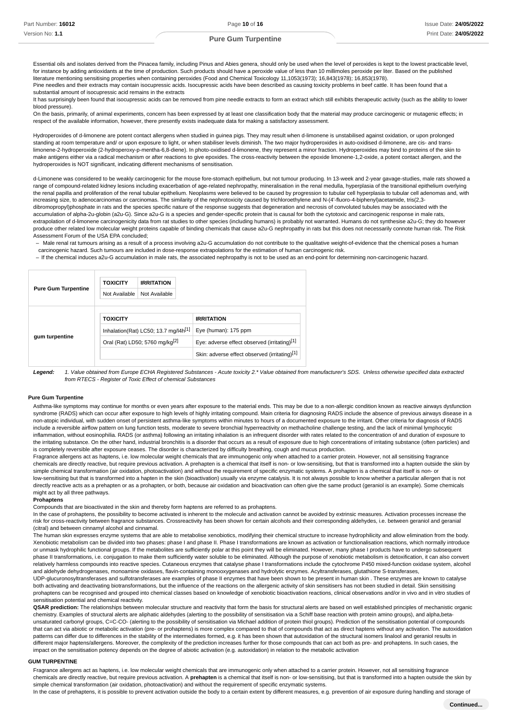Essential oils and isolates derived from the Pinacea family, including Pinus and Abies genera, should only be used when the level of peroxides is kept to the lowest practicable level, for instance by adding antioxidants at the time of production. Such products should have a peroxide value of less than 10 millimoles peroxide per liter. Based on the published literature mentioning sensitising properties when containing peroxides (Food and Chemical Toxicology 11,1053(1973); 16,843(1978); 16,853(1978).

Pine needles and their extracts may contain isocupressic acids. Isocupressic acids have been described as causing toxicity problems in beef cattle. It has been found that a substantial amount of isocupressic acid remains in the extracts

It has surprisingly been found that isocupressic acids can be removed from pine needle extracts to form an extract which still exhibits therapeutic activity (such as the ability to lower blood pressure).

On the basis, primarily, of animal experiments, concern has been expressed by at least one classification body that the material may produce carcinogenic or mutagenic effects; in respect of the available information, however, there presently exists inadequate data for making a satisfactory assessment.

Hydroperoxides of d-limonene are potent contact allergens when studied in guinea pigs. They may result when d-limonene is unstabilised against oxidation, or upon prolonged standing at room temperature and/ or upon exposure to light, or when stabiliser levels diminish. The two major hydroperoxides in auto-oxidised d-limonene, are cis- and translimonene-2-hydroperoxide (2-hydroperoxy-p-mentha-6,8-diene). In photo-oxidised d-limonene, they represent a minor fraction. Hydroperoxides may bind to proteins of the skin to make antigens either via a radical mechanism or after reactions to give epoxides. The cross-reactivity between the epoxide limonene-1,2-oxide, a potent contact allergen, and the hydroperoxides is NOT significant, indicating different mechanisms of sensitisation.

d-Limonene was considered to be weakly carcinogenic for the mouse fore-stomach epithelium, but not tumour producing. In 13-week and 2-year gavage-studies, male rats showed a range of compound-related kidney lesions including exacerbation of age-related nephropathy, mineralisation in the renal medulla, hyperplasia of the transitional epithelium overlying the renal papilla and proliferation of the renal tubular epithelium. Neoplasms were believed to be caused by progression to tubular cell hyperplasia to tubular cell adenomas and, with increasing size, to adenocarcinomas or carcinomas. The similarity of the nephrotoxicity caused by trichloroethylene and N-(4'-fluoro-4-biphenyl)acetamide, tris(2,3 dibromopropyl)phosphate in rats and the species specific nature of the response suggests that degeneration and necrosis of convoluted tubules may be associated with the accumulation of alpha-2u-globin (a2u-G). Since a2u-G is a species and gender-specific protein that is causal for both the cytotoxic and carcinogenic response in male rats, extrapolation of d-limonene carcinogenicity data from rat studies to other species (including humans) is probably not warranted. Humans do not synthesise a2u-G; they do however produce other related low molecular weight proteins capable of binding chemicals that cause a2u-G nephropathy in rats but this does not necessarily connote human risk. The Risk Assessment Forum of the USA EPA concluded;

Male renal rat tumours arising as a result of a process involving a2u-G accumulation do not contribute to the qualitative weight-of-evidence that the chemical poses a human carcinogenic hazard. Such tumours are included in dose-response extrapolations for the estimation of human carcinogenic risk. –

- If the chemical induces a2u-G accumulation in male rats, the associated nephropathy is not to be used as an end-point for determining non-carcinogenic hazard.

| <b>Pure Gum Turpentine</b> | <b>TOXICITY</b><br>Not Available                 | <b>IRRITATION</b><br>Not Available |                                               |
|----------------------------|--------------------------------------------------|------------------------------------|-----------------------------------------------|
|                            | <b>TOXICITY</b>                                  |                                    | <b>IRRITATION</b>                             |
|                            | Inhalation(Rat) LC50; 13.7 mg/l4h <sup>[1]</sup> |                                    | Eye (human): 175 ppm                          |
| gum turpentine             | Oral (Rat) LD50; 5760 mg/kg <sup>[2]</sup>       |                                    | Eye: adverse effect observed (irritating)[1]  |
|                            |                                                  |                                    | Skin: adverse effect observed (irritating)[1] |

Legend: 1. Value obtained from Europe ECHA Registered Substances - Acute toxicity 2.\* Value obtained from manufacturer's SDS. Unless otherwise specified data extracted from RTECS - Register of Toxic Effect of chemical Substances

#### **Pure Gum Turpentine**

Asthma-like symptoms may continue for months or even years after exposure to the material ends. This may be due to a non-allergic condition known as reactive airways dysfunction syndrome (RADS) which can occur after exposure to high levels of highly irritating compound. Main criteria for diagnosing RADS include the absence of previous airways disease in a non-atopic individual, with sudden onset of persistent asthma-like symptoms within minutes to hours of a documented exposure to the irritant. Other criteria for diagnosis of RADS include a reversible airflow pattern on lung function tests, moderate to severe bronchial hyperreactivity on methacholine challenge testing, and the lack of minimal lymphocytic inflammation, without eosinophilia. RADS (or asthma) following an irritating inhalation is an infrequent disorder with rates related to the concentration of and duration of exposure to the irritating substance. On the other hand, industrial bronchitis is a disorder that occurs as a result of exposure due to high concentrations of irritating substance (often particles) and is completely reversible after exposure ceases. The disorder is characterized by difficulty breathing, cough and mucus production.

Fragrance allergens act as haptens, i.e. low molecular weight chemicals that are immunogenic only when attached to a carrier protein. However, not all sensitising fragrance chemicals are directly reactive, but require previous activation. A prehapten is a chemical that itself is non- or low-sensitising, but that is transformed into a hapten outside the skin by simple chemical transformation (air oxidation, photoactivation) and without the requirement of specific enzymatic systems. A prohapten is a chemical that itself is non- or low-sensitising but that is transformed into a hapten in the skin (bioactivation) usually via enzyme catalysis. It is not always possible to know whether a particular allergen that is not directly reactive acts as a prehapten or as a prohapten, or both, because air oxidation and bioactivation can often give the same product (geraniol is an example). Some chemicals might act by all three pathways.

# **Prohaptens**

Compounds that are bioactivated in the skin and thereby form haptens are referred to as prohaptens.

In the case of prohaptens, the possibility to become activated is inherent to the molecule and activation cannot be avoided by extrinsic measures. Activation processes increase the risk for cross-reactivity between fragrance substances. Crossreactivity has been shown for certain alcohols and their corresponding aldehydes, i.e. between geraniol and geranial (citral) and between cinnamyl alcohol and cinnamal.

The human skin expresses enzyme systems that are able to metabolise xenobiotics, modifying their chemical structure to increase hydrophilicity and allow elimination from the body. Xenobiotic metabolism can be divided into two phases: phase I and phase II. Phase I transformations are known as activation or functionalisation reactions, which normally introduce or unmask hydrophilic functional groups. If the metabolites are sufficiently polar at this point they will be eliminated. However, many phase I products have to undergo subsequent phase II transformations, i.e. conjugation to make them sufficiently water soluble to be eliminated. Although the purpose of xenobiotic metabolism is detoxification, it can also convert relatively harmless compounds into reactive species. Cutaneous enzymes that catalyse phase I transformations include the cytochrome P450 mixed-function oxidase system, alcohol and aldehyde dehydrogenases, monoamine oxidases, flavin-containing monooxygenases and hydrolytic enzymes. Acyltransferases, glutathione S-transferases,

UDP-glucuronosyltransferases and sulfotransferases are examples of phase II enzymes that have been shown to be present in human skin . These enzymes are known to catalyse both activating and deactivating biotransformations, but the influence of the reactions on the allergenic activity of skin sensitisers has not been studied in detail. Skin sensitising prohaptens can be recognised and grouped into chemical classes based on knowledge of xenobiotic bioactivation reactions, clinical observations and/or in vivo and in vitro studies of sensitisation potential and chemical reactivity.

QSAR prediction: The relationships between molecular structure and reactivity that form the basis for structural alerts are based on well established principles of mechanistic organic chemistry. Examples of structural alerts are aliphatic aldehydes (alerting to the possibility of sensitisation via a Schiff base reaction with protein amino groups), and alpha,betaunsaturated carbonyl groups, C=C-CO- (alerting to the possibility of sensitisation via Michael addition of protein thiol groups). Prediction of the sensitisation potential of compounds that can act via abiotic or metabolic activation (pre- or prohaptens) is more complex compared to that of compounds that act as direct haptens without any activation. The autoxidation patterns can differ due to differences in the stability of the intermediates formed, e.g. it has been shown that autoxidation of the structural isomers linalool and geraniol results in different major haptens/allergens. Moreover, the complexity of the prediction increases further for those compounds that can act both as pre- and prohaptens. In such cases, the impact on the sensitisation potency depends on the degree of abiotic activation (e.g. autoxidation) in relation to the metabolic activation

#### **GUM TURPENTINE**

Fragrance allergens act as haptens, i.e. low molecular weight chemicals that are immunogenic only when attached to a carrier protein. However, not all sensitising fragrance chemicals are directly reactive, but require previous activation. A **prehapten** is a chemical that itself is non- or low-sensitising, but that is transformed into a hapten outside the skin by simple chemical transformation (air oxidation, photoactivation) and without the requirement of specific enzymatic systems.

In the case of prehaptens, it is possible to prevent activation outside the body to a certain extent by different measures, e.g. prevention of air exposure during handling and storage of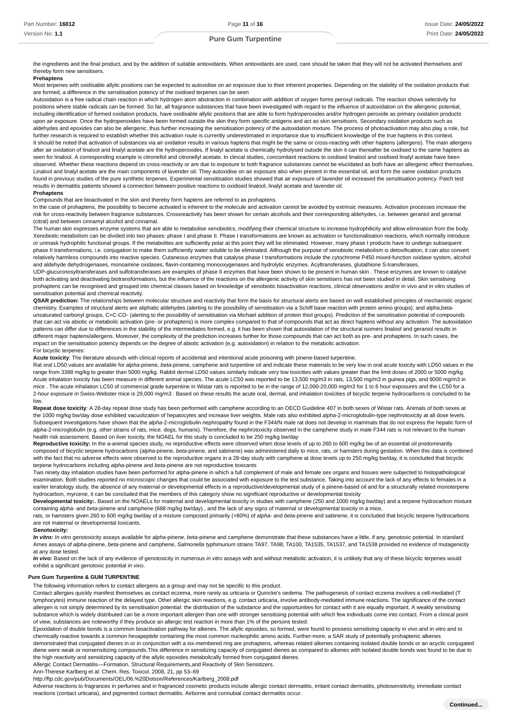the ingredients and the final product, and by the addition of suitable antioxidants. When antioxidants are used, care should be taken that they will not be activated themselves and thereby form new sensitisers.

## **Prehaptens**

Most terpenes with oxidisable allylic positions can be expected to autoxidise on air exposure due to their inherent properties. Depending on the stability of the oxidation products that are formed, a difference in the sensitisation potency of the oxidised terpenes can be seen

Autoxidation is a free radical chain reaction in which hydrogen atom abstraction in combination with addition of oxygen forms peroxyl radicals. The reaction shows selectivity for positions where stable radicals can be formed. So far, all fragrance substances that have been investigated with regard to the influence of autoxidation on the allergenic potential, including identification of formed oxidation products, have oxidisable allylic positions that are able to form hydroperoxides and/or hydrogen peroxide as primary oxidation products upon air exposure. Once the hydroperoxides have been formed outside the skin they form specific antigens and act as skin sensitisers. Secondary oxidation products such as aldehydes and epoxides can also be allergenic, thus further increasing the sensitisation potency of the autoxidation mixture. The process of photoactivation may also play a role, but further research is required to establish whether this activation route is currently underestimated in importance due to insufficient knowledge of the true haptens in this context. It should be noted that activation of substances via air oxidation results in various haptens that might be the same or cross-reacting with other haptens (allergens). The main allergens after air oxidation of linalool and linalyl acetate are the hydroperoxides. If linalyl acetate is chemically hydrolysed outside the skin it can thereafter be oxidised to the same haptens as seen for linalool. A corresponding example is citronellol and citronellyl acetate. In clincal studies, concomitant reactions to oxidised linalool and oxidised linalyl acetate have been observed. Whether these reactions depend on cross-reactivity or are due to exposure to both fragrance substances cannot be elucidated as both have an allergenic effect themselves. Linalool and linalyl acetate are the main components of lavender oil. They autoxidise on air exposure also when present in the essential oil, and form the same oxidation products found in previous studies of the pure synthetic terpenes. Experimental sensitisation studies showed that air exposure of lavender oil increased the sensitisation potency. Patch test results in dermatitis patients showed a connection between positive reactions to oxidised linalool, linalyl acetate and lavender oil.

#### **Prohaptens**

Compounds that are bioactivated in the skin and thereby form haptens are referred to as prohaptens.

In the case of probaptens, the possibility to become activated is inherent to the molecule and activation cannot be avoided by extrinsic measures. Activation processes increase the risk for cross-reactivity between fragrance substances. Crossreactivity has been shown for certain alcohols and their corresponding aldehydes, i.e. between geraniol and geranial (citral) and between cinnamyl alcohol and cinnamal.

The human skin expresses enzyme systems that are able to metabolise xenobiotics, modifying their chemical structure to increase hydrophilicity and allow elimination from the body. Xenobiotic metabolism can be divided into two phases: phase I and phase II. Phase I transformations are known as activation or functionalisation reactions, which normally introduce or unmask hydrophilic functional groups. If the metabolites are sufficiently polar at this point they will be eliminated. However, many phase I products have to undergo subsequent phase II transformations, i.e. conjugation to make them sufficiently water soluble to be eliminated. Although the purpose of xenobiotic metabolism is detoxification, it can also convert relatively harmless compounds into reactive species. Cutaneous enzymes that catalyse phase I transformations include the cytochrome P450 mixed-function oxidase system, alcohol and aldehyde dehydrogenases, monoamine oxidases, flavin-containing monooxygenases and hydrolytic enzymes. Acyltransferases, glutathione S-transferases,

UDP-glucuronosyltransferases and sulfotransferases are examples of phase II enzymes that have been shown to be present in human skin . These enzymes are known to catalyse both activating and deactivating biotransformations, but the influence of the reactions on the allergenic activity of skin sensitisers has not been studied in detail. Skin sensitising prohaptens can be recognised and grouped into chemical classes based on knowledge of xenobiotic bioactivation reactions, clinical observations and/or in vivo and in vitro studies of sensitisation potential and chemical reactivity.

**QSAR prediction:** The relationships between molecular structure and reactivity that form the basis for structural alerts are based on well established principles of mechanistic organic chemistry. Examples of structural alerts are aliphatic aldehydes (alerting to the possibility of sensitisation via a Schiff base reaction with protein amino groups), and alpha,betaunsaturated carbonyl groups, C=C-CO- (alerting to the possibility of sensitisation via Michael addition of protein thiol groups). Prediction of the sensitisation potential of compounds that can act via abiotic or metabolic activation (pre- or prohaptens) is more complex compared to that of compounds that act as direct haptens without any activation. The autoxidation patterns can differ due to differences in the stability of the intermediates formed, e.g. it has been shown that autoxidation of the structural isomers linalool and geraniol results in different major haptens/allergens. Moreover, the complexity of the prediction increases further for those compounds that can act both as pre- and prohaptens. In such cases, the impact on the sensitisation potency depends on the degree of abiotic activation (e.g. autoxidation) in relation to the metabolic activation. For bicyclic terpenes:

**Acute toxicity**: The literature abounds with clinical reports of accidental and intentional acute poisoning with pinene-based turpentine.

Rat oral LD50 values are available for alpha-pinene, beta-pinene, camphene and turpentine oil and indicate these materials to be very low in oral acute toxicity with LD50 values in the range from 3388 mg/kg to greater than 5000 mg/kg. Rabbit dermal LD50 values similarly indicate very low toxicities with values greater than the limit doses of 2000 or 5000 mg/kg. Acute inhalation toxicity has been measure in different animal species. The acute LC50 was reported to be 13,500 mg/m3 in rats, 13,500 mg/m3 in guinea pigs, and 9000 mg/m3 in mice . The acute inhalation LC50 of commercial grade turpentine in Wistar rats is reported to be in the range of 12,000-20,000 mg/m3 for 1 to 6 hour exposures and the LC50 for a 2-hour exposure in Swiss-Webster mice is 29,000 mg/m3 . Based on these results the acute oral, dermal, and inhalation toxicities of bicyclic terpene hydrocarbons is concluded to be low.

**Repeat dose toxicity**: A 28-day repeat dose study has been performed with camphene according to an OECD Guideline 407 in both sexes of Wistar rats. Animals of both sexes at the 1000 mg/kg bw/day dose exhibited vacuolization of hepatocytes and increase liver weights. Male rats also exhibited alpha-2-microglobulin-type nephrotoxicity at all dose levels. Subsequent investigations have shown that the alpha-2-microglobulin nephropathy found in the F344/N male rat does not develop in mammals that do not express the hepatic form of alpha-2-microglobulin (e.g. other strains of rats, mice, dogs, humans). Therefore, the nephrotoxicity observed in the camphene study in male F344 rats is not relevant to the human health risk assessment. Based on liver toxicity, the NOAEL for this study is concluded to be 250 mg/kg bw/day

**Reproductive toxicity:** In the a-animal species study, no reproductive effects were observed when dose levels of up to 260 to 600 mg/kg bw of an essential oil predominantly composed of bicyclic terpene hydrocarbons (alpha-pinene, beta-pinene, and sabinene) was administered daily to mice, rats, or hamsters during gestation. When this data is combined with the fact that no adverse effects were observed to the reproductive organs in a 28-day study with camphene at dose levels up to 250 mg/kg bw/day, it is concluded that bicyclic terpene hydrocarbons including alpha-pinene and beta-pinene are not reproductive toxicants

Two ninety day inhalation studies have been performed for alpha-pinene in which a full complement of male and female sex organs and tissues were subjected to histopathological examination. Both studies reported no microscopic changes that could be associated with exposure to the test substance. Taking into account the lack of any effects to females in a earlier teratology study, the absence of any maternal or developmental effects in a reproductive/developmental study of a pinene-based oil and for a structurally related monoterpene hydrocarbon, myrcene, it can be concluded that the members of this category show no significant reproductive or developmental toxicity

**Developmental toxicity:.** Based on the NOAELs for maternal and developmental toxicity in studies with camphene (250 and 1000 mg/kg bw/day) and a terpene hydrocarbon mixture containing alpha- and beta-pinene and camphene (688 mg/kg bw/day), and the lack of any signs of maternal or developmental toxicity in a mice,

rats, or hamsters given 260 to 600 mg/kg bw/day of a mixture composed primarily (>80%) of alpha- and beta-pinene and sabinene, it is concluded that bicyclic terpene hydrocarbons are not maternal or developmental toxicants.

## **Genotoxicity:**

In vitro: In vitro genotoxicity assays available for alpha-pinene, beta-pinene and camphene demonstrate that these substances have a little, if any, genotoxic potential. In standard Ames assays of alpha-pinene, beta-pinene and camphene, Salmonella typhimurium strains TA97, TA98, TA100, TA1535, TA1537, and TA1538 provided no evidence of mutagenicity at any dose tested.

In vivo: Based on the lack of any evidence of genotoxicity in numerous in vitro assays with and without metabolic activation, it is unlikely that any of these bicyclic terpenes would exhibit a significant genotoxic potential in vivo.

# **Pure Gum Turpentine & GUM TURPENTINE**

The following information refers to contact allergens as a group and may not be specific to this product.

Contact allergies quickly manifest themselves as contact eczema, more rarely as urticaria or Quincke's oedema. The pathogenesis of contact eczema involves a cell-mediated (T lymphocytes) immune reaction of the delayed type. Other allergic skin reactions, e.g. contact urticaria, involve antibody-mediated immune reactions. The significance of the contact allergen is not simply determined by its sensitisation potential: the distribution of the substance and the opportunities for contact with it are equally important. A weakly sensitising substance which is widely distributed can be a more important allergen than one with stronger sensitising potential with which few individuals come into contact. From a clinical point of view, substances are noteworthy if they produce an allergic test reaction in more than 1% of the persons tested.

Epoxidation of double bonds is a common bioactivation pathway for alkenes. The allylic epoxides, so formed, were found to possess sensitising capacity in vivo and in vitro and to chemically reactive towards a common hexapeptide containing the most common nucleophilic amino acids. Further-more, a SAR study of potentially prohaptenic alkenes demonstrated that conjugated dienes in or in conjunction with a six-membered ring are prohaptens, whereas related alkenes containing isolated double bonds or an acyclic conjugated diene were weak or nonsensitizing compounds.This difference in sensitizing capacity of conjugated dienes as compared to alkenes with isolated double bonds was found to be due to the high reactivity and sensitizing capacity of the allylic epoxides metabolically formed from conjugated dienes.

Allergic Contact Dermatitis––Formation, Structural Requirements,and Reactivity of Skin Sensitizers.

Ann-Therese Karlberg et al: Chem. Res. Toxicol. 2008, 21, pp 53–69

http://ftp.cdc.gov/pub/Documents/OEL/06.%20Dotson/References/Karlberg\_2008.pdf

Adverse reactions to fragrances in perfumes and in fragranced cosmetic products include allergic contact dermatitis, irritant contact dermatitis, photosensitivity, immediate contact reactions (contact urticaria), and pigmented contact dermatitis. Airborne and connubial contact dermatitis occur.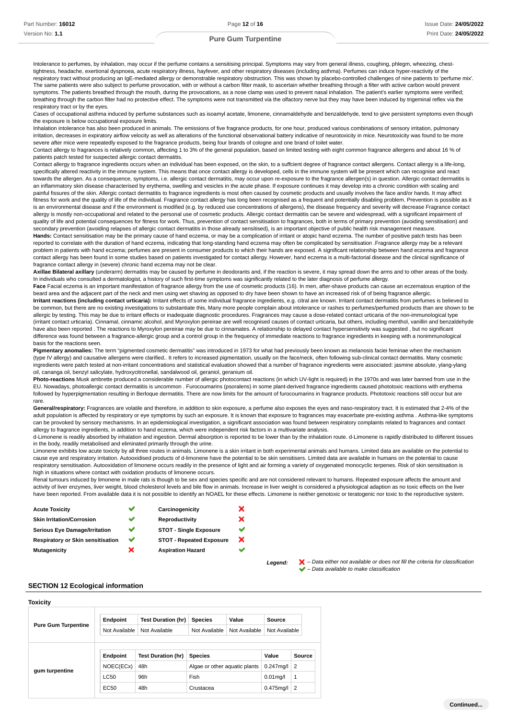Intolerance to perfumes, by inhalation, may occur if the perfume contains a sensitising principal. Symptoms may vary from general illness, coughing, phlegm, wheezing, chesttightness, headache, exertional dyspnoea, acute respiratory illness, hayfever, and other respiratory diseases (including asthma). Perfumes can induce hyper-reactivity of the respiratory tract without producing an IgE-mediated allergy or demonstrable respiratory obstruction. This was shown by placebo-controlled challenges of nine patients to 'perfume mix'. The same patients were also subject to perfume provocation, with or without a carbon filter mask, to ascertain whether breathing through a filter with active carbon would prevent symptoms. The patients breathed through the mouth, during the provocations, as a nose clamp was used to prevent nasal inhalation. The patient's earlier symptoms were verified; breathing through the carbon filter had no protective effect. The symptoms were not transmitted via the olfactory nerve but they may have been induced by trigeminal reflex via the respiratory tract or by the eyes.

Cases of occupational asthma induced by perfume substances such as isoamyl acetate, limonene, cinnamaldehyde and benzaldehyde, tend to give persistent symptoms even though the exposure is below occupational exposure limits.

Inhalation intolerance has also been produced in animals. The emissions of five fragrance products, for one hour, produced various combinations of sensory irritation, pulmonary irritation, decreases in expiratory airflow velocity as well as alterations of the functional observational battery indicative of neurotoxicity in mice. Neurotoxicity was found to be more severe after mice were repeatedly exposed to the fragrance products, being four brands of cologne and one brand of toilet water.

Contact allergy to fragrances is relatively common, affecting 1 to 3% of the general population, based on limited testing with eight common fragrance allergens and about 16 % of patients patch tested for suspected allergic contact dermatitis.

Contact allergy to fragrance ingredients occurs when an individual has been exposed, on the skin, to a suffcient degree of fragrance contact allergens. Contact allergy is a life-long, specifically altered reactivity in the immune system. This means that once contact allergy is developed, cells in the immune system will be present which can recognise and react towards the allergen. As a consequence, symptoms, i.e. allergic contact dermatitis, may occur upon re-exposure to the fragrance allergen(s) in question. Allergic contact dermatitis is an inflammatory skin disease characterised by erythema, swelling and vesicles in the acute phase. If exposure continues it may develop into a chronic condition with scaling and painful fissures of the skin. Allergic contact dermatitis to fragrance ingredients is most often caused by cosmetic products and usually involves the face and/or hands. It may affect fitness for work and the quality of life of the individual. Fragrance contact allergy has long been recognised as a frequent and potentially disabling problem. Prevention is possible as it is an environmental disease and if the environment is modified (e.g. by reduced use concentrations of allergens), the disease frequency and severity will decrease Fragrance contact allergy is mostly non-occupational and related to the personal use of cosmetic products. Allergic contact dermatitis can be severe and widespread, with a significant impairment of quality of life and potential consequences for fitness for work. Thus, prevention of contact sensitisation to fragrances, both in terms of primary prevention (avoiding sensitisation) and secondary prevention (avoiding relapses of allergic contact dermatitis in those already sensitised), is an important objective of public health risk management measure.

**Hands:** Contact sensitisation may be the primary cause of hand eczema, or may be a complication of irritant or atopic hand eczema. The number of positive patch tests has been reported to correlate with the duration of hand eczema, indicating that long-standing hand eczema may often be complicated by sensitisation .Fragrance allergy may be a relevant problem in patients with hand eczema; perfumes are present in consumer products to which their hands are exposed. A significant relationship between hand eczema and fragrance contact allergy has been found in some studies based on patients investigated for contact allergy. However, hand eczema is a multi-factorial disease and the clinical significance of fragrance contact allergy in (severe) chronic hand eczema may not be clear.

**Axillae Bilateral axillary** (underarm) dermatitis may be caused by perfume in deodorants and, if the reaction is severe, it may spread down the arms and to other areas of the body. In individuals who consulted a dermatologist, a history of such first-time symptoms was significantly related to the later diagnosis of perfume allergy.

**Face** Facial eczema is an important manifestation of fragrance allergy from the use of cosmetic products (16). In men, after-shave products can cause an eczematous eruption of the beard area and the adjacent part of the neck and men using wet shaving as opposed to dry have been shown to have an increased risk of of being fragrance allergic.

**Irritant reactions (including contact urticaria):** Irritant effects of some individual fragrance ingredients, e.g. citral are known. Irritant contact dermatitis from perfumes is believed to be common, but there are no existing investigations to substantiate this. Many more people complain about intolerance or rashes to perfumes/perfumed products than are shown to be allergic by testing. This may be due to irritant effects or inadequate diagnostic procedures. Fragrances may cause a dose-related contact urticaria of the non-immunological type (irritant contact urticaria). Cinnamal, cinnamic alcohol, and Myroxylon pereirae are well recognised causes of contact urticaria, but others, including menthol, vanillin and benzaldehyde have also been reported . The reactions to Myroxylon pereirae may be due to cinnamates. A relationship to delayed contact hypersensitivity was suggested , but no significant difference was found between a fragrance-allergic group and a control group in the frequency of immediate reactions to fragrance ingredients in keeping with a nonimmunological basis for the reactions seen.

Pigmentary anomalies: The term "pigmented cosmetic dermatitis" was introduced in 1973 for what had previously been known as melanosis faciei feminae when the mechanism (type IV allergy) and causative allergens were clarified.. It refers to increased pigmentation, usually on the face/neck, often following sub-clinical contact dermatitis. Many cosmetic ingredients were patch tested at non-irritant concentrations and statistical evaluation showed that a number of fragrance ingredients were associated: jasmine absolute, ylang-ylang oil, cananga oil, benzyl salicylate, hydroxycitronellal, sandalwood oil, geraniol, geranium oil.

**Photo-reactions** Musk ambrette produced a considerable number of allergic photocontact reactions (in which UV-light is required) in the 1970s and was later banned from use in the EU. Nowadays, photoallergic contact dermatitis is uncommon . Furocoumarins (psoralens) in some plant-derived fragrance ingredients caused phototoxic reactions with erythema followed by hyperpigmentation resulting in Berloque dermatitis. There are now limits for the amount of furocoumarins in fragrance products. Phototoxic reactions still occur but are rare.

General/respiratory: Fragrances are volatile and therefore, in addition to skin exposure, a perfume also exposes the eyes and naso-respiratory tract. It is estimated that 2-4% of the adult population is affected by respiratory or eye symptoms by such an exposure. It is known that exposure to fragrances may exacerbate pre-existing asthma . Asthma-like symptoms can be provoked by sensory mechanisms. In an epidemiological investigation, a significant association was found between respiratory complaints related to fragrances and contact allergy to fragrance ingredients, in addition to hand eczema, which were independent risk factors in a multivariate analysis.

d-Limonene is readily absorbed by inhalation and ingestion. Dermal absorption is reported to be lower than by the inhalation route. d-Limonene is rapidly distributed to different tissues in the body, readily metabolised and eliminated primarily through the urine.

Limonene exhibits low acute toxicity by all three routes in animals. Limonene is a skin irritant in both experimental animals and humans. Limited data are available on the potential to cause eye and respiratory irritation. Autooxidised products of d-limonene have the potential to be skin sensitisers. Limited data are available in humans on the potential to cause respiratory sensitisation. Autooxidation of limonene occurs readily in the presence of light and air forming a variety of oxygenated monocyclic terpenes. Risk of skin sensitisation is high in situations where contact with oxidation products of limonene occurs.

Renal tumours induced by limonene in male rats is though to be sex and species specific and are not considered relevant to humans. Repeated exposure affects the amount and activity of liver enzymes, liver weight, blood cholesterol levels and bile flow in animals. Increase in liver weight is considered a physiological adaption as no toxic effects on the liver have been reported. From available data it is not possible to identify an NOAEL for these effects. Limonene is neither genotoxic or teratogenic nor toxic to the reproductive system.

> ×  $\overline{\mathbf{x}}$ V  $\overline{\mathbf{x}}$

| <b>Acute Toxicity</b>             |   | Carcinogenicity                 |
|-----------------------------------|---|---------------------------------|
| <b>Skin Irritation/Corrosion</b>  |   | Reproductivity                  |
| Serious Eye Damage/Irritation     |   | <b>STOT - Single Exposure</b>   |
| Respiratory or Skin sensitisation | ັ | <b>STOT - Repeated Exposure</b> |
| Mutagenicity                      | × | <b>Aspiration Hazard</b>        |
|                                   |   |                                 |

Legend:  $\blacktriangleright$  - Data either not available or does not fill the criteria for classification – Data available to make classification

## **SECTION 12 Ecological information**

| Toxicity                   |                 |                           |                               |               |                  |        |
|----------------------------|-----------------|---------------------------|-------------------------------|---------------|------------------|--------|
|                            | <b>Endpoint</b> | <b>Test Duration (hr)</b> | <b>Species</b>                | Value         | Source           |        |
| <b>Pure Gum Turpentine</b> | Not Available   | Not Available             | Not Available                 | Not Available | Not Available    |        |
|                            | Endpoint        | <b>Test Duration (hr)</b> | <b>Species</b>                |               | Value            | Source |
|                            | NOEC(ECx)       | 48h                       | Algae or other aquatic plants |               | $0.247$ mg/l 2   |        |
| gum turpentine             | LC50            | 96h                       | Fish                          |               | $0.01$ mg/l      | 1      |
|                            | EC50            | 48h                       | Crustacea                     |               | $0.475$ mg/l   2 |        |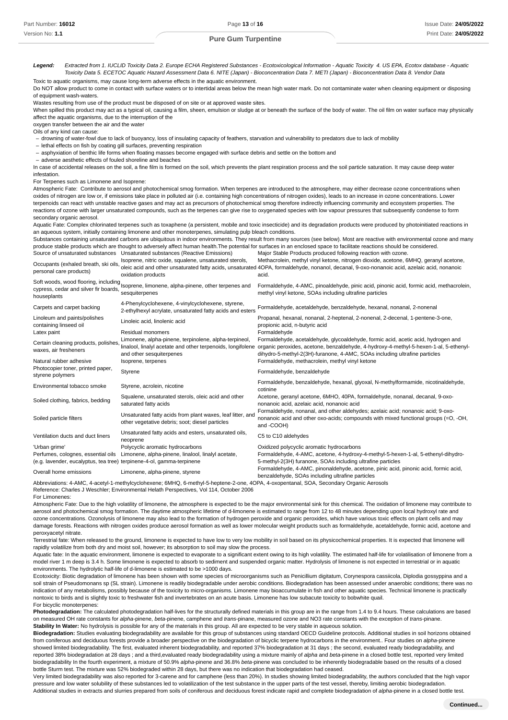Legend: Extracted from 1. IUCLID Toxicity Data 2. Europe ECHA Registered Substances - Ecotoxicological Information - Aquatic Toxicity 4. US EPA, Ecotox database - Aquatic Toxicity Data 5. ECETOC Aquatic Hazard Assessment Data 6. NITE (Japan) - Bioconcentration Data 7. METI (Japan) - Bioconcentration Data 8. Vendor Data Toxic to aquatic organisms, may cause long-term adverse effects in the aquatic environment.

Do NOT allow product to come in contact with surface waters or to intertidal areas below the mean high water mark. Do not contaminate water when cleaning equipment or disposing of equipment wash-waters.

Wastes resulting from use of the product must be disposed of on site or at approved waste sites.

When spilled this product may act as a typical oil, causing a film, sheen, emulsion or sludge at or beneath the surface of the body of water. The oil film on water surface may physically affect the aquatic organisms, due to the interruption of the

oxygen transfer between the air and the water Oils of any kind can cause:

- drowning of water-fowl due to lack of buoyancy, loss of insulating capacity of feathers, starvation and vulnerability to predators due to lack of mobility

- lethal effects on fish by coating gill surfaces, preventing respiration

- asphyxiation of benthic life forms when floating masses become engaged with surface debris and settle on the bottom and

adverse aesthetic effects of fouled shoreline and beaches –

In case of accidental releases on the soil, a fine film is formed on the soil, which prevents the plant respiration process and the soil particle saturation. It may cause deep water infestation.

For Terpenes such as Limonene and Isoprene:

Atmospheric Fate: Contribute to aerosol and photochemical smog formation. When terpenes are introduced to the atmosphere, may either decrease ozone concentrations when oxides of nitrogen are low or, if emissions take place in polluted air (i.e. containing high concentrations of nitrogen oxides), leads to an increase in ozone concentrations. Lower terpenoids can react with unstable reactive gases and may act as precursors of photochemical smog therefore indirectly influencing community and ecosystem properties. The reactions of ozone with larger unsaturated compounds, such as the terpenes can give rise to oxygenated species with low vapour pressures that subsequently condense to form secondary organic aerosol.

Aquatic Fate: Complex chlorinated terpenes such as toxaphene (a persistent, mobile and toxic insecticide) and its degradation products were produced by photoinitiated reactions in an aqueous system, initially containing limonene and other monoterpenes, simulating pulp bleach conditions.

Substances containing unsaturated carbons are ubiquitous in indoor environments. They result from many sources (see below). Most are reactive with environmental ozone and many produce stable products which are thought to adversely affect human health.The potential for surfaces in an enclosed space to facilitate reactions should be considered. Source of unsaturated substances Unsaturated substances (Reactive Emissions) Major Stable Products produced following reaction with ozone.

| Occupants (exhaled breath, ski oils,<br>personal care products)                                             | Isoprene, nitric oxide, squalene, unsaturated sterols,<br>oxidation products                                                                     | Methacrolein, methyl vinyl ketone, nitrogen dioxide, acetone, 6MHQ, geranyl acetone,<br>oleic acid and other unsaturated fatty acids, unsaturated 4OPA, formaldehyde, nonanol, decanal, 9-oxo-nonanoic acid, azelaic acid, nonanoic<br>acid.             |
|-------------------------------------------------------------------------------------------------------------|--------------------------------------------------------------------------------------------------------------------------------------------------|----------------------------------------------------------------------------------------------------------------------------------------------------------------------------------------------------------------------------------------------------------|
| cypress, cedar and silver fir boards,<br>houseplants                                                        | Soft woods, wood flooring, including Isoprene, limonene, alpha-pinene, other terpenes and<br>sesquiterpenes                                      | Formaldehyde, 4-AMC, pinoaldehyde, pinic acid, pinonic acid, formic acid, methacrolein,<br>methyl vinyl ketone, SOAs including ultrafine particles                                                                                                       |
| Carpets and carpet backing                                                                                  | 4-Phenylcyclohexene, 4-vinylcyclohexene, styrene,<br>2-ethylhexyl acrylate, unsaturated fatty acids and esters                                   | Formaldehyde, acetaldehyde, benzaldehyde, hexanal, nonanal, 2-nonenal                                                                                                                                                                                    |
| Linoleum and paints/polishes<br>containing linseed oil                                                      | Linoleic acid, linolenic acid                                                                                                                    | Propanal, hexanal, nonanal, 2-heptenal, 2-nonenal, 2-decenal, 1-pentene-3-one,<br>propionic acid, n-butyric acid                                                                                                                                         |
| Latex paint                                                                                                 | Residual monomers                                                                                                                                | Formaldehyde                                                                                                                                                                                                                                             |
| Certain cleaning products, polishes<br>waxes, air fresheners                                                | Limonene, alpha-pinene, terpinolene, alpha-terpineol,<br>linalool, linalyl acetate and other terpenoids, longifolene<br>and other sesquiterpenes | Formaldehyde, acetaldehyde, glycoaldehyde, formic acid, acetic acid, hydrogen and<br>organic peroxides, acetone, benzaldehyde, 4-hydroxy-4-methyl-5-hexen-1-al, 5-ethenyl-<br>dihydro-5-methyl-2(3H)-furanone, 4-AMC, SOAs including ultrafine particles |
| Natural rubber adhesive                                                                                     | Isoprene, terpenes                                                                                                                               | Formaldehyde, methacrolein, methyl vinyl ketone                                                                                                                                                                                                          |
| Photocopier toner, printed paper,<br>styrene polymers                                                       | Styrene                                                                                                                                          | Formaldehyde, benzaldehyde                                                                                                                                                                                                                               |
| Environmental tobacco smoke                                                                                 | Styrene, acrolein, nicotine                                                                                                                      | Formaldehyde, benzaldehyde, hexanal, glyoxal, N-methylformamide, nicotinaldehyde,<br>cotinine                                                                                                                                                            |
| Soiled clothing, fabrics, bedding                                                                           | Squalene, unsaturated sterols, oleic acid and other<br>saturated fatty acids                                                                     | Acetone, geranyl acetone, 6MHO, 40PA, formaldehyde, nonanal, decanal, 9-oxo-<br>nonanoic acid, azelaic acid, nonanoic acid                                                                                                                               |
| Soiled particle filters                                                                                     | Unsaturated fatty acids from plant waxes, leaf litter, and<br>other vegetative debris; soot; diesel particles                                    | Formaldehyde, nonanal, and other aldehydes; azelaic acid; nonanoic acid; 9-oxo-<br>nonanoic acid and other oxo-acids; compounds with mixed functional groups (=O, -OH,<br>and -COOH)                                                                     |
| Ventilation ducts and duct liners                                                                           | Unsaturated fatty acids and esters, unsaturated oils,<br>neoprene                                                                                | C5 to C10 aldehydes                                                                                                                                                                                                                                      |
| 'Urban grime'                                                                                               | Polycyclic aromatic hydrocarbons                                                                                                                 | Oxidized polycyclic aromatic hydrocarbons                                                                                                                                                                                                                |
| Perfumes, colognes, essential oils<br>(e.g. lavender, eucalyptus, tea tree) terpinene-4-ol, gamma-terpinene | Limonene, alpha-pinene, linalool, linalyl acetate,                                                                                               | Formaldehyde, 4-AMC, acetone, 4-hydroxy-4-methyl-5-hexen-1-al, 5-ethenyl-dihydro-<br>5-methyl-2(3H) furanone, SOAs including ultrafine particles                                                                                                         |
| Overall home emissions                                                                                      | Limonene, alpha-pinene, styrene                                                                                                                  | Formaldehyde, 4-AMC, pinonaldehyde, acetone, pinic acid, pinonic acid, formic acid,<br>benzaldehyde. SOAs including ultrafine particles                                                                                                                  |

Abbreviations: 4-AMC, 4-acetyl-1-methylcyclohexene; 6MHQ, 6-methyl-5-heptene-2-one, 4OPA, 4-oxopentanal, SOA, Secondary Organic Aerosols

Reference: Charles J Weschler; Environmental Helath Perspectives, Vol 114, October 2006

For Limonenes:

Atmospheric Fate: Due to the high volatility of limonene, the atmosphere is expected to be the major environmental sink for this chemical. The oxidation of limonene may contribute to aerosol and photochemical smog formation. The daytime atmospheric lifetime of d-limonene is estimated to range from 12 to 48 minutes depending upon local hydroxyl rate and ozone concentrations. Ozonolysis of limonene may also lead to the formation of hydrogen peroxide and organic peroxides, which have various toxic effects on plant cells and may damage forests. Reactions with nitrogen oxides produce aerosol formation as well as lower molecular weight products such as formaldehyde, acetaldehyde, formic acid, acetone and peroxyacetyl nitrate.

Terrestrial fate: When released to the ground, limonene is expected to have low to very low mobility in soil based on its physicochemical properties. It is expected that limonene will rapidly volatilize from both dry and moist soil, however; its absorption to soil may slow the process.

Aquatic fate: In the aquatic environment, limonene is expected to evaporate to a significant extent owing to its high volatility. The estimated half-life for volatilisation of limonene from a model river 1 m deep is 3.4 h. Some limonene is expected to absorb to sediment and suspended organic matter. Hydrolysis of limonene is not expected in terrestrial or in aquatic environments. The hydrolytic half-life of d-limonene is estimated to be >1000 days.

Ecotoxicity: Biotic degradation of limonene has been shown with some species of microorganisms such as Penicillium digitatum, Corynespora cassiicola, Diplodia gossyppina and a soil strain of Pseudomonans sp (SL strain). Limonene is readily biodegradable under aerobic conditions. Biodegradation has been assessed under anaerobic conditions; there was no indication of any metabolisms, possibly because of the toxicity to micro-organisms. Limonene may bioaccumulate in fish and other aquatic species. Technical limonene is practically nontoxic to birds and is slightly toxic to freshwater fish and invertebrates on an acute basis. Limonene has low subacute toxicity to bobwhite quail. For bicyclic monoterpenes:

**Photodegradation:** The calculated photodegradation half-lives for the structurally defined materials in this group are in the range from 1.4 to 9.4 hours. These calculations are based on measured OH rate constants for alpha-pinene, beta-pinene, camphene and trans-pinane, measured ozone and NO3 rate constants with the exception of trans-pinane. **Stability In Water:** No hydrolysis is possible for any of the materials in this group. All are expected to be very stable in aqueous solution.

**Biodegradation:** Studies evaluating biodegradability are available for this group of substances using standard OECD Guideline protocols. Additional studies in soil horizons obtained from coniferous and deciduous forests provide a broader perspective on the biodegradation of bicyclic terpene hydrocarbons in the environment.. Four studies on alpha-pinene showed limited biodegradability. The first, evaluated inherent biodegradability, and reported 37% biodegradation at 31 days ; the second, evaluated ready biodegradability, and reported 38% biodegradation at 28 days ; and a third,evaluated ready biodegradability using a mixture mainly of alpha and beta-pinene in a closed bottle test, reported very limited biodegradability In the fourth experiment, a mixture of 50.9% alpha-pinene and 36.8% beta-pinene was concluded to be inherently biodegradable based on the results of a clos bottle Sturm test. The mixture was 52% biodegraded within 28 days, but there was no indication that biodegradation had ceased.

Very limited biodegradability was also reported for 3-carene and for camphene (less than 20%). In studies showing limited biodegradability, the authors concluded that the high vapor pressure and low water solubility of these substances led to volatilization of the test substance in the upper parts of the test vessel, thereby, limiting aerobic biodegradation. Additional studies in extracts and slurries prepared from soils of coniferous and deciduous forest indicate rapid and complete biodegradation of alpha-pinene in a closed bottle test.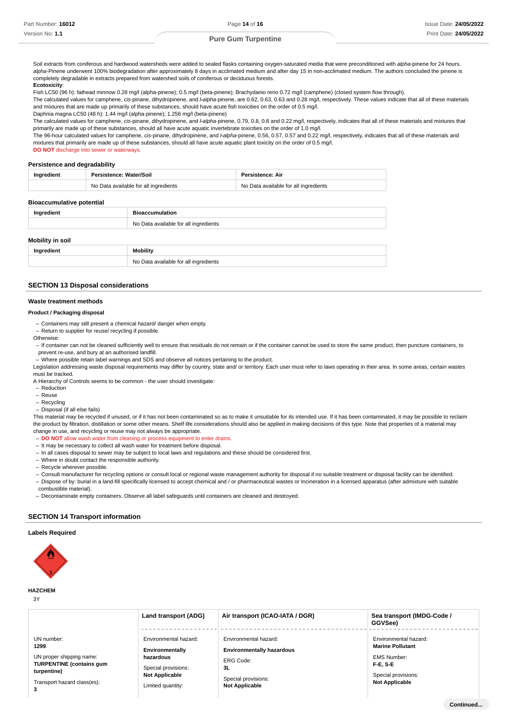Soil extracts from coniferous and hardwood watersheds were added to sealed flasks containing oxygen-saturated media that were preconditioned with alpha-pinene for 24 hours. alpha-Pinene underwent 100% biodegradation after approximately 8 days in acclimated medium and after day 15 in non-acclimated medium. The authors concluded the pinene is completely degradable in extracts prepared from watershed soils of coniferous or deciduous forests.

#### **Ecotoxicity**:

Fish LC50 (96 h): fathead minnow 0.28 mg/l (alpha-pinene); 0.5 mg/l (beta-pinene); Brachydanio rerio 0.72 mg/l (camphene) (closed system flow through).

The calculated values for camphene, cis-pinane, dihydropinene, and *Lalpha*-pinene, are 0.62, 0.63, 0.63 and 0.28 mg/l, respectively. These values indicate that all of these materials and mixtures that are made up primarily of these substances, should have acute fish toxicities on the order of 0.5 mg/l.

Daphnia magna LC50 (48 h): 1.44 mg/l (alpha-pinene); 1.256 mg/l (beta-pinene)

The calculated values for camphene, cis-pinane, dihydropinene, and *I-alpha-*pinene, 0.79, 0.8, 0.8 and 0.22 mg/l, respectively, indicates that all of these materials and mixtures that primarily are made up of these substances, should all have acute aquatic invertebrate toxicities on the order of 1.0 mg/l.

The 96-hour calculated values for camphene, cis-pinane, dihydropinene, and *I-alpha*-pinene, 0.56, 0.57, 0.57 and 0.22 mg/l, respectively, indicates that all of these materials and mixtures that primarily are made up of these substances, should all have acute aquatic plant toxicity on the order of 0.5 mg/l. **DO NOT** discharge into sewer or waterways.

|  | Persistence and degradability |
|--|-------------------------------|
|  |                               |

| Persistence: Water/Soil               | Persistence: Air                      |
|---------------------------------------|---------------------------------------|
| No Data available for all ingredients | No Data available for all ingredients |

#### **Bioaccumulative potential**

| Ingredient       | <b>Bioaccumulation</b>                |
|------------------|---------------------------------------|
|                  | No Data available for all ingredients |
| Mobility in soil |                                       |

| UUIIILY III SUII |                                       |  |
|------------------|---------------------------------------|--|
| Ingredient       | <b>Mobility</b>                       |  |
|                  | No Data available for all ingredients |  |

# **SECTION 13 Disposal considerations**

# **Waste treatment methods**

#### **Product / Packaging disposal**

Containers may still present a chemical hazard/ danger when empty. –

- Return to supplier for reuse/ recycling if possible.

Otherwise:

- If container can not be cleaned sufficiently well to ensure that residuals do not remain or if the container cannot be used to store the same product, then puncture containers, to prevent re-use, and bury at an authorised landfill.

- Where possible retain label warnings and SDS and observe all notices pertaining to the product.

Legislation addressing waste disposal requirements may differ by country, state and/ or territory. Each user must refer to laws operating in their area. In some areas, certain wastes must be tracked.

A Hierarchy of Controls seems to be common - the user should investigate:

- Reduction –
- Reuse –
- Recycling –

- Disposal (if all else fails)

This material may be recycled if unused, or if it has not been contaminated so as to make it unsuitable for its intended use. If it has been contaminated, it may be possible to reclaim the product by filtration, distillation or some other means. Shelf life considerations should also be applied in making decisions of this type. Note that properties of a material may change in use, and recycling or reuse may not always be appropriate.

- **DO NOT** allow wash water from cleaning or process equipment to enter drains.
- It may be necessary to collect all wash water for treatment before disposal.
- In all cases disposal to sewer may be subject to local laws and regulations and these should be considered first.
- Where in doubt contact the responsible authority. –
- Recycle wherever possible.
- Consult manufacturer for recycling options or consult local or regional waste management authority for disposal if no suitable treatment or disposal facility can be identified.

- Dispose of by: burial in a land-fill specifically licensed to accept chemical and / or pharmaceutical wastes or Incineration in a licensed apparatus (after admixture with suitable combustible material).

- Decontaminate empty containers. Observe all label safeguards until containers are cleaned and destroyed.

# **SECTION 14 Transport information**

# **Labels Required**



**HAZCHEM**

| ٦            |  |
|--------------|--|
| I<br>×<br>۰, |  |

|                                                                                                                                      | Land transport (ADG)                                                                                                       | Air transport (ICAO-IATA / DGR)                                                                                              | Sea transport (IMDG-Code /<br>GGVSee)                                                                                             |
|--------------------------------------------------------------------------------------------------------------------------------------|----------------------------------------------------------------------------------------------------------------------------|------------------------------------------------------------------------------------------------------------------------------|-----------------------------------------------------------------------------------------------------------------------------------|
| UN number:<br>1299<br>UN proper shipping name:<br><b>TURPENTINE (contains gum</b><br>turpentine)<br>Transport hazard class(es):<br>3 | Environmental hazard:<br>Environmentally<br>hazardous<br>Special provisions:<br><b>Not Applicable</b><br>Limited quantity: | Environmental hazard:<br><b>Environmentally hazardous</b><br>ERG Code:<br>3L<br>Special provisions:<br><b>Not Applicable</b> | Environmental hazard:<br><b>Marine Pollutant</b><br><b>EMS Number:</b><br>F-E.S-E<br>Special provisions:<br><b>Not Applicable</b> |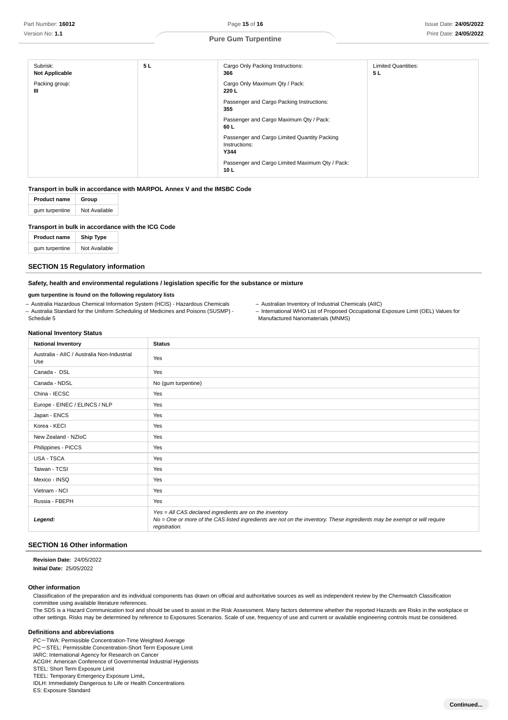| Subrisk:<br><b>Not Applicable</b> | 5L | Cargo Only Packing Instructions:<br>366                               | <b>Limited Quantities:</b><br>5 <sub>L</sub> |
|-----------------------------------|----|-----------------------------------------------------------------------|----------------------------------------------|
| Packing group:<br>Ш               |    | Cargo Only Maximum Qty / Pack:<br>220 L                               |                                              |
|                                   |    | Passenger and Cargo Packing Instructions:<br>355                      |                                              |
|                                   |    | Passenger and Cargo Maximum Qty / Pack:<br>60 L                       |                                              |
|                                   |    | Passenger and Cargo Limited Quantity Packing<br>Instructions:<br>Y344 |                                              |
|                                   |    | Passenger and Cargo Limited Maximum Qty / Pack:<br>10 <sub>L</sub>    |                                              |

## **Transport in bulk in accordance with MARPOL Annex V and the IMSBC Code**

| <b>Product name</b> | Group         |  |
|---------------------|---------------|--|
| gum turpentine      | Not Available |  |

# **Transport in bulk in accordance with the ICG Code**

| <b>Product name</b> | <b>Ship Type</b> |
|---------------------|------------------|
| gum turpentine      | Not Available    |

# **SECTION 15 Regulatory information**

# **Safety, health and environmental regulations / legislation specific for the substance or mixture**

# **gum turpentine is found on the following regulatory lists**

- Australia Hazardous Chemical Information System (HCIS) - Hazardous Chemicals - Australia Standard for the Uniform Scheduling of Medicines and Poisons (SUSMP) -

- Australian Inventory of Industrial Chemicals (AIIC)
- International WHO List of Proposed Occupational Exposure Limit (OEL) Values for Manufactured Nanomaterials (MNMS)

# **National Inventory Status**

Schedule 5

| <b>National Inventory</b>                          | <b>Status</b>                                                                                                                                                                                        |
|----------------------------------------------------|------------------------------------------------------------------------------------------------------------------------------------------------------------------------------------------------------|
| Australia - AIIC / Australia Non-Industrial<br>Use | Yes                                                                                                                                                                                                  |
| Canada - DSL                                       | Yes                                                                                                                                                                                                  |
| Canada - NDSL                                      | No (gum turpentine)                                                                                                                                                                                  |
| China - IECSC                                      | Yes                                                                                                                                                                                                  |
| Europe - EINEC / ELINCS / NLP                      | Yes                                                                                                                                                                                                  |
| Japan - ENCS                                       | Yes                                                                                                                                                                                                  |
| Korea - KECI                                       | Yes                                                                                                                                                                                                  |
| New Zealand - NZIoC                                | Yes                                                                                                                                                                                                  |
| Philippines - PICCS                                | Yes                                                                                                                                                                                                  |
| USA - TSCA                                         | Yes                                                                                                                                                                                                  |
| Taiwan - TCSI                                      | Yes                                                                                                                                                                                                  |
| Mexico - INSQ                                      | Yes                                                                                                                                                                                                  |
| Vietnam - NCI                                      | Yes                                                                                                                                                                                                  |
| Russia - FBEPH                                     | Yes                                                                                                                                                                                                  |
| Legend:                                            | Yes = All CAS declared ingredients are on the inventory<br>No = One or more of the CAS listed ingredients are not on the inventory. These ingredients may be exempt or will require<br>registration. |

# **SECTION 16 Other information**

**: Revision Date** 24/05/2022 **: Initial Date** 25/05/2022

# **Other information**

Classification of the preparation and its individual components has drawn on official and authoritative sources as well as independent review by the Chemwatch Classification committee using available literature references.

The SDS is a Hazard Communication tool and should be used to assist in the Risk Assessment. Many factors determine whether the reported Hazards are Risks in the workplace or other settings. Risks may be determined by reference to Exposures Scenarios. Scale of use, frequency of use and current or available engineering controls must be considered.

#### **Definitions and abbreviations**

PC-TWA: Permissible Concentration-Time Weighted Average

PC-STEL: Permissible Concentration-Short Term Exposure Limit

IARC: International Agency for Research on Cancer ACGIH: American Conference of Governmental Industrial Hygienists

STEL: Short Term Exposure Limit

TEEL: Temporary Emergency Exposure Limit。

IDLH: Immediately Dangerous to Life or Health Concentrations

ES: Exposure Standard